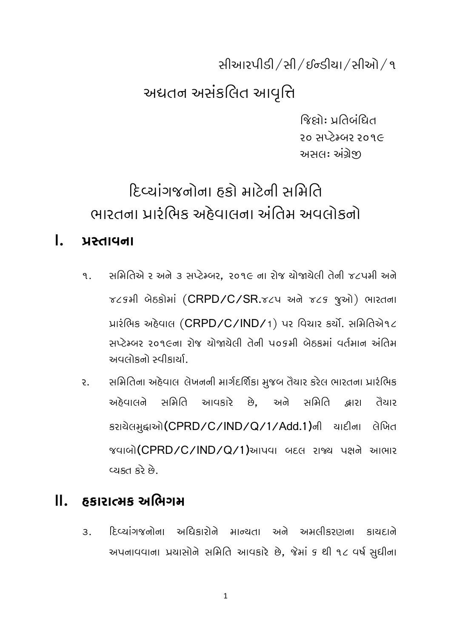સીઆરપીડી /સી / ઈન્ડીયા /સીઓ / ૧

## અદ્યતન અસંકલિત આવૃત્તિ

જિલોઃ પ્રતિબંધિત २० सप्टेम्બर २०१૯ અસલઃ અંગ્રેજી

# દિવ્યાંગજનોના ઠકો માટેની સમિતિ ભારતના પ્રારંભિક અઠેવાલના અંતિમ અવલોકનો

#### $\mathbf{L}$ પ્રસ્તાવના

- સમિતિએ ર અને ૩ સપ્ટેમ્બર. ૨૦૧૯ ના રોજ યોજાયેલી તેની જ૮પમી અને ৭. TCSHI બેઠકોમાં (CRPD/C/SR.TCY અને TCS જુઓ) ભારતના પ્રારંભિક અદેવાલ (CRPD/C/IND/1) પર વિચાર કર્યો. સમિતિએ૧૮ સપ્ટેમ્બર ૨૦૧૯ના રોજ ચોજાચેલી તેની ૫૦૬મી બેઠકમાં વર્તમાન અંતિમ અવલોકનો સ્વીકાર્યા.
- સમિતિના અહેવાલ લેખનની માર્ગદર્શિકા મુજબ તૈયાર કરેલ ભારતના પ્રારંભિક  $\mathcal{E}$ . અઠેવાલને સમિતિ આવકારે છે. અને સમિતિ ାମାଇ તૈયાર કરાચેલમુદ્દાઓ(CPRD/C/IND/Q/1/Add.1)ની ચાદીના લેખિત જવાબો (CPRD/C/IND/Q/1)આપવા બદલ રાજ્ય પક્ષને આભાર બ દેર તસ્યાડ

#### $\Pi$ . હકારાત્મક અભિગમ

દિવ્યાંગજનોના અધિકારોને માન્યતા અને અમલીકરણના કાયદાને  $\mathcal{R}$ અપનાવવાના પ્રયાસોને સમિતિ આવકારે છે, જેમાં ૬ થી ૧૮ વર્ષ સુધીના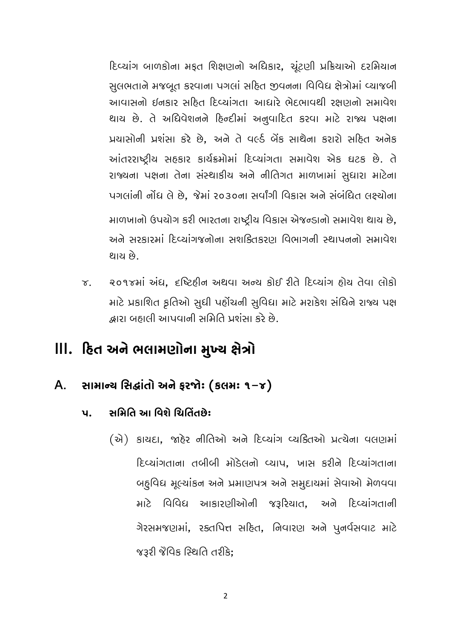દિવ્યાંગ બાળકોના મફત શિક્ષણનો અધિકાર, ચૂંટણી પ્રક્રિયાઓ દરમિયાન સુલભતાને મજબૂત કરવાના પગલાં સહિત જીવનના વિવિધ ક્ષેત્રોમાં વ્યાજબી આવાસનો ઈનકાર સહિત દિવ્યાંગતા આધારે ભેદભાવથી રક્ષણનો સમાવેશ થાય છે. તે અધિવેશનને દિન્દીમાં અનુવાદિત કરવા માટે રાજ્ય પક્ષના પ્રયાસોની પ્રશંસા કરે છે. અને તે વર્લ્ડ બેંક સાથેના કરારો સહિત અનેક આંતરરાષ્ટ્રીય સહકાર કાર્યક્રમોમાં દિવ્યાંગતા સમાવેશ એક ઘટક છે. તે રાજ્યના પક્ષના તેના સંસ્થાકીય અને નીતિગત માળખામાં સુધારા માટેના પગલાંની નોંધ લે છે. જેમાં ૨૦૩૦ના સર્વાંગી વિકાસ અને સંબંધિત લક્ષ્યોના માળખાનો ઉપયોગ કરી ભારતના રાષ્ટ્રીય વિકાસ એજન્ડાનો સમાવેશ થાય છે, અને સરકારમાં દિવ્યાંગજનોના સશક્તિકરાગ વિભાગની સ્થાપનનો સમાવેશ થાય છે.

२०१४मां अंध, दृष्टिहीन अथया अन्य डोઈ रीते हिप्यांग होय तेया लोडो  $\sigma$ . માટે પ્રકાશિત ફતિઓ સુધી પહોંચની સુવિધા માટે મરાકેશ સંધિને રાજ્ય પક્ષ દ્ભારા બહાલી આપવાની સમિતિ પ્રશંસા કરે છે.

## lll. હિત અને ભલામણોના મુખ્ય ક્ષેત્રો

- સામાન્ય સિદ્ધાંતો અને ફરજોઃ (કલમઃ ૧-૪)  $A_{\cdot}$ 
	- સમિતિ આ વિશે ચિતિંતછે:  $\mathbf{u}$ .
		- (से) डायदा, श्वरेश नीतिओ अने दिप्यांग प्यडितओ प्रत्येना पतराभां દિવ્યાંગતાના તબીબી મોડેલનો વ્યાપ, ખાસ કરીને દિવ્યાંગતાના બદૃવિધ મૂલ્યાંકન અને પ્રમાણપત્ર અને સમુદાયમાં સેવાઓ મેળવવા માટે વિવિધ આકારણીઓની જરૂરિયાત, અને દિવ્યાંગતાની ગેરસમજણમાં, રક્તપિત્ત સહિત, નિવારણ અને પુનર્વસવાટ માટે જરૂરી જેવિક સ્થિતિ તરીકે: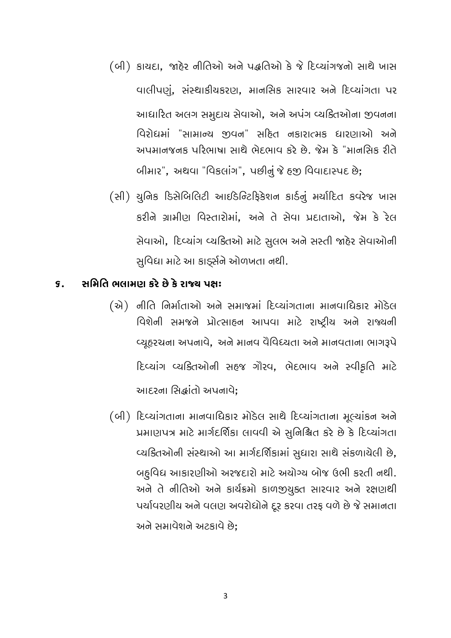- (બી) કાયદા, જાહેર નીતિઓ અને પદ્ધતિઓ કે જે દિવ્યાંગજનો સાથે ખાસ વાલીપણું, સંસ્થાકીયકરણ, માનસિક સારવાર અને દિવ્યાંગતા પર આધારિત અલગ સમુદાય સેવાઓ, અને અપંગ વ્યક્તિઓના જીવનના વિરોધમાં "સામાન્ય જીવન" સહિત નકારાત્મક ધારણાઓ અને અપમાનજનક પરિભાષા સાથે ભેદભાવ કરે છે. જેમ કે "માનસિક રીતે બીમાર", અથવા "વિકલાંગ", પછીનું જે હજી વિવાદાસ્પદ છે;
- (સી) યુનિક ડિસેબિલિટી આઈડેન્ટિફિકેશન કાર્ડનું મર્યાદિત કવરેજ ખાસ કરીને ગ્રામીણ વિસ્તારોમાં, અને તે સેવા પ્રદાતાઓ, જેમ કે રેલ સેવાઓ, દિવ્યાંગ વ્યક્તિઓ માટે સુલભ અને સસ્તી જાહેર સેવાઓની સુવિદ્યા માટે આ કાર્ડ્સને ઓળખતા નથી.

#### સમિતિ ભલામણ કરે છે કે રાજ્ય પક્ષ:  $\mathbf S$ .

- (से) नीति निर्माताओं अने समान्नमां हिप्यांगताना मानवाधिडार मोडेस વિશેની સમજને પ્રોત્સાહન આપવા માટે રાષ્ટ્રીય અને રાજ્યની વ્યૂહરચના અપનાવે, અને માનવ વૈવિધ્યતા અને માનવતાના ભાગરૂપે દિવ્યાંગ વ્યકિતઓની સહજ ગૌરવ, ભેદભાવ અને સ્વીકૃતિ માટે આદરના સિદ્ધાંતો અપનાવે;
- (બી) દિવ્યાંગતાના માનવાધિકાર મોડેલ સાથે દિવ્યાંગતાના મૂલ્યાંકન અને प्रभाણपत्र भारे भार्गदर्शिङा લापपी એ સુનિશ્ચિત કરે છે કે દિવ્યાંગતા વ્યક્તિઓની સંસ્થાઓ આ માર્ગદર્શિકામાં સુધારા સાથે સંકળાયેલી છે, બદુવિધ આકારણીઓ અરજદારો માટે અયોગ્ય બોજ ઉભી કરતી નથી. અને તે નીતિઓ અને કાર્યક્રમો કાળજીચુક્ત સારવાર અને રક્ષણથી પર્યાવરણીય અને વલણ અવરોધોને દૂર કરવા તરફ વળે છે જે સમાનતા અને સમાવેશને અટકાવે છે: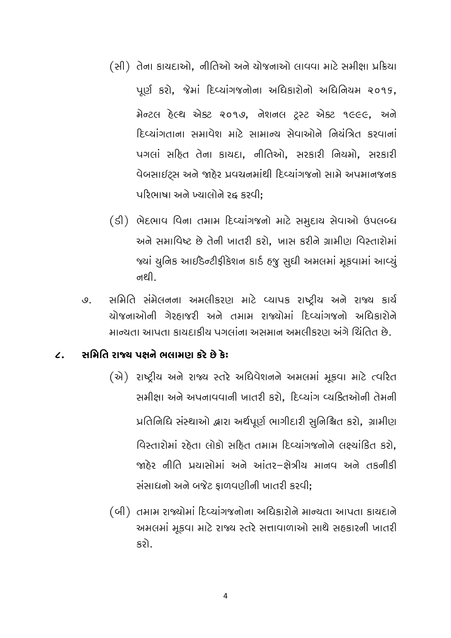- (સી) તેના કાયદાઓ, નીતિઓ અને યોજનાઓ લાવવા માટે સમીક્ષા પ્રક્રિયા પૂર્ણ કરો, જેમાં દિવ્યાંગજનોના અધિકારોનો અધિનિયમ ૨૦૧૬, मेन्टल हेल्थ એક्ટ २०१७, नेशनल ट्रस्ट એક्ट १૯૯૯, અने हिव्यांगताना सभावेश भारे सामान्य सेवाओने नियंत्रित इरवानां પગલાં સહિત તેના કાયદા, નીતિઓ, સરકારી નિયમો, સરકારી વેબસાઈટ્સ અને જાહેર પ્રવચનમાંથી દિવ્યાંગજનો સામે અપમાનજનક પરિભાષા અને ખ્યાલોને રહ કરવી:
- (डी) ભેદભાવ વિના તમામ દિવ્યાંગજનો માટે સમુદાય સેવાઓ ઉપલબ્ધ અને સમાવિષ્ટ છે તેની ખાતરી કરો. ખાસ કરીને ગ્રામીણ વિસ્તારોમાં જ્યાં યુનિક આઈડેન્ટીફીકેશન કાર્ડ હજુ સુધી અમલમાં મૂકવામાં આવ્યું નથી.
- સમિતિ સંમેલનના અમલીકરણ માટે વ્યાપક રાષ્ટ્રીય અને રાજ્ય કાર્ય  $Q_{\perp}$ ચોજનાઓની ગેરહાજરી અને તમામ રાજ્યોમાં દિવ્યાંગજનો અધિકારોને માન્યતા આપતા કાયદાકીય પગલાંના અસમાન અમલીકરાગ અંગે ચિંતિત છે.

#### સમિતિ રાજ્ય પક્ષને ભલામણ કરે છે કે:  $\mathbf{Z}$

- (એ) રાષ્ટ્રીય અને રાજ્ય સ્તરે અધિવેશનને અમલમાં મૂકવા માટે ત્વરિત સમીક્ષા અને અપનાવવાની ખાતરી કરો. દિવ્યાંગ વ્યકિતઓની તેમની પ્રતિનિધિ સંસ્થાઓ દ્વારા અર્થપૂર્ણ ભાગીદારી સુનિશ્ચિત કરો, ગ્રામીણ વિસ્તારોમાં રહેતા લોકો સહિત તમામ દિવ્યાંગજનોને લક્ષ્યાંકિત કરો. જાઠેર નીતિ પ્રયાસોમાં અને આંતર-કોત્રીય માનવ અને તકનીકી સંસાધનો અને બજેટ કાળવણીની ખાતરી કરવી:
- (બી) તમામ રાજ્યોમાં દિવ્યાંગજનોના અધિકારોને માન્યતા આપતા કાયદાને અમલમાં મૂકવા માટે રાજ્ય સ્તરે સત્તાવાળાઓ સાથે સહકારની ખાતરી કરો.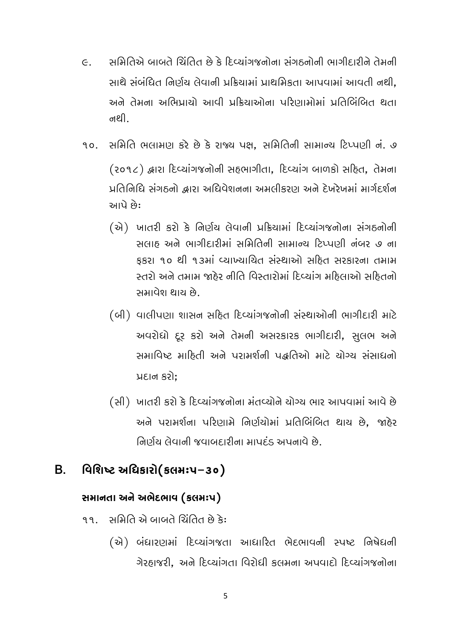- સમિતિએ બાબતે ચિંતિત છે કે દિવ્યાંગજનોના સંગઠનોની ભાગીદારીને તેમની  $\in$ . સાથે સંબંધિત નિર્ણય લેવાની પ્રક્રિયામાં પ્રાથમિકતા આપવામાં આવતી નથી. અને તેમના અભિપ્રાયો આવી પ્રક્રિયાઓના પરિણામોમાં પ્રતિબિંબિત થતા નથી.
- સમિતિ ભલામણ કરે છે કે રાજ્ય પક્ષ. સમિતિની સામાન્ય ટિપ્પણી નં. ૭ 90. (૨૦૧૮) દ્વારા દિવ્યાંગજનોની સહભાગીતા, દિવ્યાંગ બાળકો સહિત, તેમના પ્રતિનિધિ સંગઠનો હ્વારા અધિવેશનના અમલીકરાગ અને દેખરેખમાં માર્ગદર્શન આપે છે:
	- (એ) ખાતરી કરો કે નિર્ણય લેવાની પ્રક્રિયામાં દિવ્યાંગજનોના સંગઠનોની સલાહ અને ભાગીદારીમાં સમિતિની સામાન્ય ટિપ્પણી નંબર ૭ ના કકરા ૧૦ થી ૧૩માં વ્યાખ્યાયિત સંસ્થાઓ સહિત સરકારના તમામ સ્તરો અને તમામ જાઠેર નીતિ વિસ્તારોમાં દિવ્યાંગ મહિલાઓ સહિતનો સમાવેશ થાય છે.
	- (બી) વાલીપણા શાસન સહિત દિવ્યાંગજનોની સંસ્થાઓની ભાગીદારી માટે અવરોધો દર કરો અને તેમની અસરકારક ભાગીદારી. સલભ અને સમાવિષ્ટ માહિતી અને પરામર્શની પદ્ધતિઓ માટે યોગ્ય સંસાધનો પ્રદાન કરો:
	- (સી) ખાતરી કરો કે દિવ્યાંગજનોના મંતવ્યોને યોગ્ય ભાર આપવામાં આવે છે અને પરામર્શના પરિણામે નિર્ણયોમાં પ્રતિબિંબિત થાય છે, જાહેર નિર્ણય લેવાની જવાબદારીના માપદંડ અપનાવે છે.

#### વિશિષ્ટ અધિકારો(કલમઃપ–૩૦) <sub>R</sub>

### સમાનતા અને અભેદભાવ (કલમઃપ)

- સમિતિ એ બાબતે ચિંતિત છે કે:  $99$ 
	- (એ) બંધારણમાં દિવ્યાંગજતા આધારિત ભેદભાવની સ્પષ્ટ નિષેધની ગેરહાજરી. અને દિવ્યાંગતા વિરોધી કલમના અપવાદો દિવ્યાંગજનોના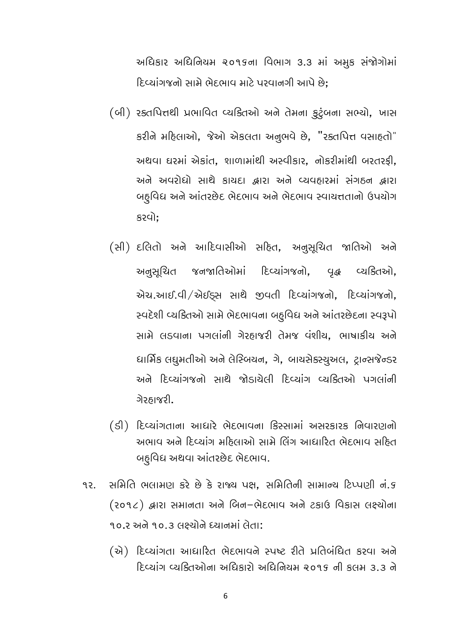અધિકાર અધિનિયમ ૨૦૧૬ના વિભાગ 3.3 માં અમુક સંજોગોમાં દિવ્યાંગજનો સામે ભેદભાવ માટે પરવાનગી આપે છે:

- (બી) રક્તપિત્તથી પ્રભાવિત વ્યકિતઓ અને તેમના કુટુંબના સભ્યો, ખાસ કરીને મદિલાઓ, જેઓ એકલતા અનુભવે છે, "રક્તપિત્ત વસાદતો" અથવા ઘરમાં એકાંત, શાળામાંથી અસ્વીકાર, નોકરીમાંથી બરતરફી, અને અવરોધો સાથે કાયદા હ્રારા અને વ્યવહારમાં સંગઠન હ્રારા બહુવિધ અને આંતરછેદ ભેદભાવ અને ભેદભાવ સ્વાચત્તતાનો ઉપયોગ કરવો;
- (સી) દલિતો અને આદિવાસીઓ સહિત, અનુસૂચિત જાતિઓ અને અનુસૂચિત જનજાતિઓમાં દિવ્યાંગજનો, વૃદ્ધ વ્યક્તિઓ, એચ.આઈ.વી/એઈડ્સ સાથે જીવતી દિવ્યાંગજનો, દિવ્યાંગજનો, સ્વદેશી વ્યક્તિઓ સામે ભેદભાવના બદુવિદ્ય અને આંતરછેદના સ્વરૂપો સામે લડવાના પગલાંની ગેરહાજરી તેમજ વંશીય, ભાષાકીય અને ધાર્મિક લઘુમતીઓ અને લેસ્બિયન, ગે, બાયસેક્સ્યુઅલ, ટ્રાન્સજેન્ડર અને દિવ્યાંગજનો સાથે જોડાયેલી દિવ્યાંગ વ્યક્તિઓ પગલાંની ગેરઠાજરી.
- (ડી) દિવ્યાંગતાના આધારે ભેદભાવના કિસ્સામાં અસરકારક નિવારણનો અભાવ અને દિવ્યાંગ મહિલાઓ સામે લિંગ આધારિત ભેદભાવ સહિત બદુવિધ અથવા આંતરછેદ ભેદભાવ.
- સમિતિ ભલામણ કરે છે કે રાજ્ય પક્ષ. સમિતિની સામાન્ય ટિપ્પણી નં.૬ 92. (२०१८) झारा समानता अने जिन-लेहलाप अने टडाઉ पिडास લक्ष्योना ૧૦.૨ અને ૧૦.૩ લક્ષ્યોને ધ્યાનમાં લેતા:
	- (से) દિવ્યાંગતા આધારિત ભેદભાવને સ્પષ્ટ રીતે પ્રતિબંધિત કરવા અને દિવ્યાંગ વ્યક્તિઓના અધિકારો અધિનિયમ ૨૦૧૬ ની કલમ ૩.૩ ને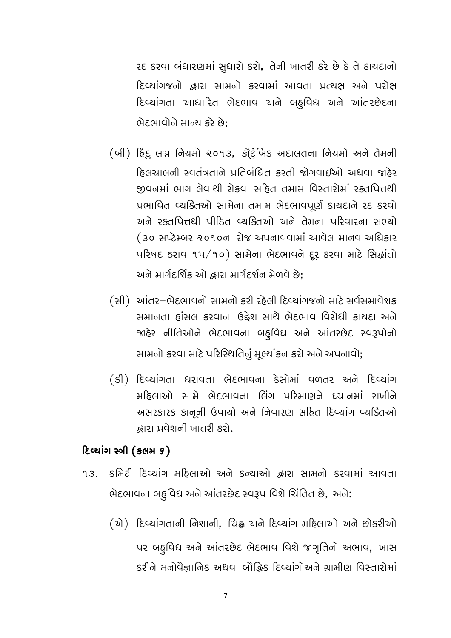રદ કરવા બંધારણમાં સુધારો કરો, તેની ખાતરી કરે છે કે તે કાયદાનો દિવ્યાંગજનો દ્વારા સામનો કરવામાં આવતા પ્રત્યક્ષ અને પરોક્ષ દિવ્યાંગતા આધારિત ભેદભાવ અને બદુવિધ અને આંતરછેદના ભેદભાવોને માન્ય કરે છે:

(બી) દિંદુ લગ્ન નિયમો ૨૦૧૩, કૌટુંબિક અદાલતના નિયમો અને તેમની હિલચાલની સ્વતંત્રતાને પ્રતિબંધિત કરતી જોગવાઈઓ અથવા જાહેર જીવનમાં ભાગ લેવાથી રોકવા સહિત તમામ વિસ્તારોમાં રક્તપિત્તથી प्रભावित व्यडितओ साभेना तभाभ लेहलापपूर्ण डायहाने २६ डरपो અને રક્તપિત્તથી પીડિત વ્યક્તિઓ અને તેમના પરિવારના સભ્યો (३० सप्टेम्બर २०१०ना रोष अपनापपामां आपेल मानप अधिडार uરિષદ ઠરાવ ૧૫/૧૦) સામેના ભેદભાવને દૂર કરવા માટે સિદ્ધાંતો અને માર્ગદર્શિકાઓ દ્વારા માર્ગદર્શન મેળવે છે:

(સી) આંતર-ભેદભાવનો સામનો કરી રહેલી દિવ્યાંગજનો માટે સર્વસમાવેશક સમાનતા હાંસલ કરવાના ઉદ્દેશ સાથે ભેદભાવ વિરોધી કાચદા અને જાહેર નીતિઓને ભેદભાવના બદ્ધિધ અને આંતરછેદ સ્વરૂપોનો સામનો કરવા માટે પરિસ્થિતિનું મુલ્યાંકન કરો અને અપનાવો;

(डी) દિવ્યાંગતા ધરાવતા ભેદભાવના કેસોમાં વળતર અને દિવ્યાંગ મહિલાઓ સામે ભેદભાવના લિંગ પરિમાણને ધ્યાનમાં રાખીને અસરકારક કાનૂની ઉપાયો અને નિવારણ સદિત દિવ્યાંગ વ્યકિતઓ દ્ભારા પ્રવેશની ખાતરી કરો.

#### દિવ્યાંગ સ્ત્રી (કલમ ૬)

- કમિટી દિવ્યાંગ મઠિલાઓ અને કન્યાઓ હ્વારા સામનો કરવામાં આવતા  $9.3$ ભેદભાવના બહુવિધ અને આંતરછેદ સ્વરૂપ વિશે ચિંતિત છે, અને:
	- (स्रे) દિવ્યાંગતાની નિશાની, ચિહ્ન અને દિવ્યાંગ મહિલાઓ અને છોકરીઓ પર બદૃવિધ અને આંતરછેદ ભેદભાવ વિશે જાગૃતિનો અભાવ, ખાસ કરીને મનોવૈજ્ઞાનિક અથવા બૌદ્ધિક દિવ્યાંગોઅને ગ્રામીણ વિસ્તારોમાં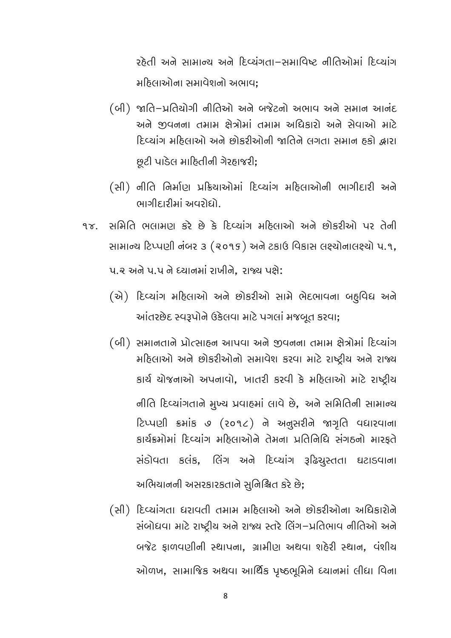રહેતી અને સામાન્ય અને દિવ્યંગતા-સમાવિષ્ટ નીતિઓમાં દિવ્યાંગ મઠિલાઓના સમાવેશનો અભાવ:

- (બી) જાતિ-પ્રતિયોગી નીતિઓ અને બજેટનો અભાવ અને સમાન આનંદ અને જીવનના તમામ ક્ષેત્રોમાં તમામ અધિકારો અને સેવાઓ માટે દિવ્યાંગ મહિલાઓ અને છોકરીઓની જાતિને લગતા સમાન હકો દ્વારા છુટી પાડેલ માહિતીની ગેરહાજરી;
- (સી) નીતિ નિર્માણ પ્રક્રિયાઓમાં દિવ્યાંગ મહિલાઓની ભાગીદારી અને ભાગીદારીમાં અવરોદ્યો.
- સમિતિ ભલામણ કરે છે કે દિવ્યાંગ મહિલાઓ અને છોકરીઓ પર તેની  $9x$ સામાન્ય ટિપ્પણી નંબર ૩ (૨૦૧૬) અને ટકાઉ વિકાસ લક્ષ્યોનાલક્ષ્યો પ.૧, પ.૨ અને પ.૫ ને ધ્યાનમાં રાખીને. રાજ્ય પકો:
	- (એ) દિવ્યાંગ મહિલાઓ અને છોકરીઓ સામે ભેદભાવના બદ્ધવિધ અને આંતરછેદ સ્વરૂપોને ઉકેલવા માટે પગલાં મજબૂત કરવા;

(બી) સમાનતાને પ્રોત્સાહન આપવા અને જીવનના તમામ ક્ષેત્રોમાં દિવ્યાંગ મહિલાઓ અને છોકરીઓનો સમાવેશ કરવા માટે રાષ્ટ્રીય અને રાજ્ય કાર્ય યોજનાઓ અપનાવો, ખાતરી કરવી કે મહિલાઓ માટે રાષ્ટ્રીય નીતિ દિવ્યાંગતાને મુખ્ય પ્રવાહમાં લાવે છે, અને સમિતિની સામાન્ય ટિપ્પણી ક્રમાંક ૭ (૨૦૧૮) ને અનુસરીને જાગૃતિ વધારવાના કાર્યક્રમોમાં દિવ્યાંગ મહિલાઓને તેમના પ્રતિનિધિ સંગઠનો મારકતે સંડોવતા કલંક, લિંગ અને દિવ્યાંગ રૂઢિચુસ્તતા ઘટાડવાના અભિયાનની અસરકારકતાને સુનિશ્ચિત કરે છે;

(સી) દિવ્યાંગતા ધરાવતી તમામ મહિલાઓ અને છોકરીઓના અધિકારોને સંબોધવા માટે રાષ્ટ્રીય અને રાજ્ય સ્તરે લિંગ–પ્રતિભાવ નીતિઓ અને બજેટ ફાળવણીની સ્થાપના, ગ્રામીણ અથવા શહેરી સ્થાન, વંશીય ઓળખ, સામાજિક અથવા આર્થિક પૃષ્ઠભૂમિને ધ્યાનમાં લીધા વિના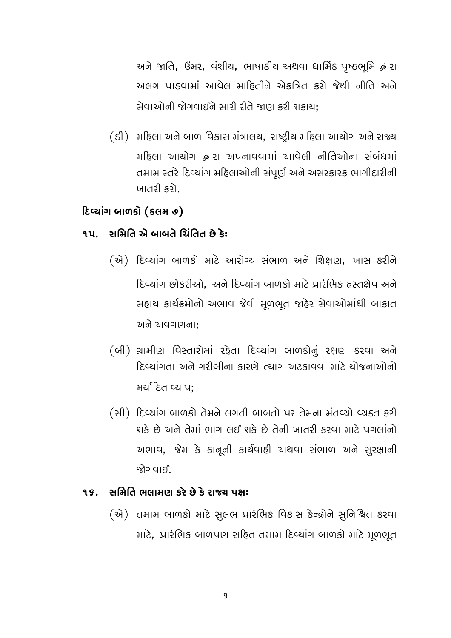અને જાતિ, ઉંમર, વંશીય, ભાષાકીય અથવા ધાર્મિક પૃષ્ઠભૂમિ દ્વારા અલગ પાડવામાં આવેલ માહિતીને એકત્રિત કરો જેથી નીતિ અને સેવાઓની જોગવાઈને સારી રીતે જાણ કરી શકાય:

(ડી) મહિલા અને બાળ વિકાસ મંત્રાલય, રાષ્ટ્રીય મહિલા આયોગ અને રાજ્ય મઠિલા આયોગ દ્ભારા અપનાવવામાં આવેલી નીતિઓના સંબંધમાં તમામ સ્તરે દિવ્યાંગ મહિલાઓની સંપૂર્ણ અને અસરકારક ભાગીદારીની ખાતરી કરો.

### દિવ્યાંગ બાળકો (કલમ ૭)

#### ૧૫. સમિતિ એ બાબતે ચિંતિત છે કેઃ

- (એ) દિવ્યાંગ બાળકો માટે આરોગ્ય સંભાળ અને શિક્ષણ, ખાસ કરીને દિવ્યાંગ છોકરીઓ. અને દિવ્યાંગ બાળકો માટે પ્રારંભિક હસ્તકોપ અને સહાચ કાર્યક્રમોનો અભાવ જેવી મૂળભૂત જાહેર સેવાઓમાંથી બાકાત અને અવગણના:
- (બી) ગ્રામીણ વિસ્તારોમાં રહેતા દિવ્યાંગ બાળકોનું રક્ષણ કરવા અને દિવ્યાંગતા અને ગરીબીના કારણે ત્યાગ અટકાવવા માટે યોજનાઓનો મર્યાદિત વ્યાપ:
- (સી) દિવ્યાંગ બાળકો તેમને લગતી બાબતો પર તેમના મંતવ્યો વ્યક્ત કરી શકે છે અને તેમાં ભાગ લઈ શકે છે તેની ખાતરી કરવા માટે પગલાંનો અભાવ, જેમ કે કાનૂની કાર્યવાહી અથવા સંભાળ અને સુરક્ષાની જોગવાઈ

#### ૧૬. સમિતિ ભલામણ કરે છે કે રાજ્ય પક્ષ:

(એ) તમામ બાળકો માટે સુલભ પ્રારંભિક વિકાસ કેન્દ્રોને સુનિશ્ચિત કરવા માટે, પ્રારંભિક બાળપણ સદિત તમામ દિવ્યાંગ બાળકો માટે મૂળભુત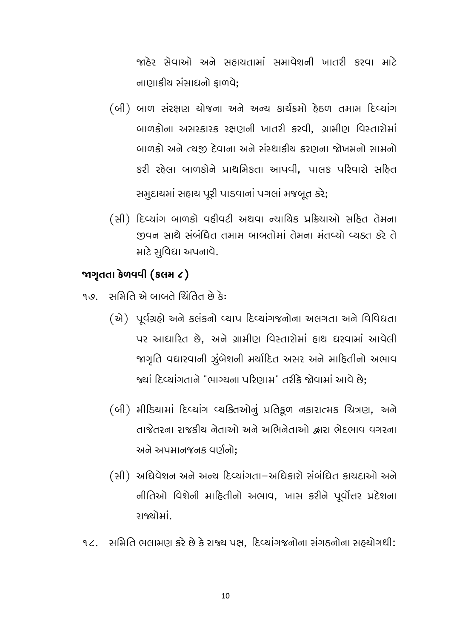જાહેર સેવાઓ અને સહાયતામાં સમાવેશની ખાતરી કરવા માટે નાણાકીય સંસાધનો કાળવે;

- (બી) બાળ સંરક્ષણ ચોજના અને અન્ય કાર્યક્રમો દેઠળ તમામ દિવ્યાંગ બાળકોના અસરકારક રક્ષણની ખાતરી કરવી. ગ્રામીણ વિસ્તારોમાં બાળકો અને ત્યુજી દેવાના અને સંસ્થાકીય કરણના જોખમનો સામનો કરી રહેલા બાળકોને પ્રાથમિકતા આપવી, પાલક પરિવારો સહિત સમુદાયમાં સહાય પૂરી પાડવાનાં પગલાં મજબૂત કરે;
- (સી) દિવ્યાંગ બાળકો વઠીવટી અથવા ન્યાયિક પ્રક્રિયાઓ સહિત તેમના जुपन साथै संजंधित तभाभ जाजतोमां तेमना मंतप्यो प्यडत डरे ते માટે સુવિદ્યા અપનાવે.

### જાગૃતતા કેળવવી (કલમ ૮)

૧૭ સમિતિ એ બાબતે ચિંતિત છે કે:

- (स्रे) पूर्वग्रहो सने इसंडनो प्याप हिप्यांग बोना सतगता सने विविधता પર આધારિત છે. અને ગ્રામીણ વિસ્તારોમાં હાથ ધરવામાં આવેલી જાગૃતિ વધારવાની ઝુંબેશની મર્યાદિત અસર અને માહિતીનો અભાવ જ્યાં દિવ્યાંગતાને "ભાગ્યના પરિણામ" તરીકે જોવામાં આવે છે:
- (બી) મીડિયામાં દિવ્યાંગ વ્યક્તિઓનું પ્રતિકુળ નકારાત્મક ચિત્રણ, અને તાજેતરના રાજકીય નેતાઓ અને અભિનેતાઓ દ્વારા ભેદભાવ વગરના અને અપમાનજનક વર્ણનો:
- (સી) અધિવેશન અને અન્ય દિવ્યાંગતા–અધિકારો સંબંધિત કાયદાઓ અને નીતિઓ વિશેની માહિતીનો અભાવ, ખાસ કરીને પૂર્વોત્તર પ્રદેશના રાજ્યોમાં.
- ૧૮. સમિતિ ભલામણ કરે છે કે રાજ્ય પક્ષ, દિવ્યાંગજનોના સંગઠનોના સહ્યોગથી: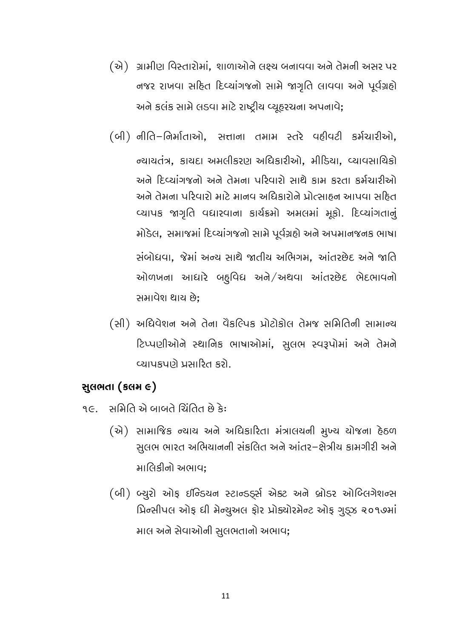- (એ) ગ્રામીણ વિસ્તારોમાં, શાળાઓને લક્ષ્ય બનાવવા અને તેમની અસર પર નજર રાખવા સહિત દિવ્યાંગજનો સામે જાગૃતિ લાવવા અને પૂર્વગ્રહો અને કલંક સામે લડવા માટે રાષ્ટ્રીય વ્યૂહરચના અપનાવે;
- (બી) નીતિ-નિર્માતાઓ, સત્તાના તમામ સ્તરે વઠીવટી કર્મચારીઓ, ન્યાયતંત્ર, કાયદા અમલીકરણ અધિકારીઓ, મીડિયા, વ્યાવસાયિકો અને દિવ્યાંગજનો અને તેમના પરિવારો સાથે કામ કરતા કર્મચારીઓ અને તેમના પરિવારો માટે માનવ અધિકારોને પ્રોત્સાહન આપવા સહિત વ્યાપક જાગૃતિ વધારવાના કાર્યક્રમો અમલમાં મૂકો. દિવ્યાંગતાનું મોડેલ, સમાજમાં દિવ્યાંગજનો સામે પૂર્વગ્રહો અને અપમાનજનક ભાષા સંબોધવા. જેમાં અન્ય સાથે જાતીય અભિગમ. આંતરછેદ અને જાતિ ઓળખના આધારે બદુવિધ અને/અથવા આંતરછેદ ભેદભાવનો સમાવેશ થાય છે:
- (સી) અધિવેશન અને તેના વૈકલ્પિક પ્રોટોકોલ તેમજ સમિતિની સામાન્ય ટિપ્પણીઓને સ્થાનિક ભાષાઓમાં, સૂલભ સ્વરૂપોમાં અને તેમને વ્યાપકપણે પ્રસારિત કરો.

### સુલભતા (કલમ ૯)

- ૧૯. સમિતિ એ બાબતે ચિંતિત છે કે:
	- (એ) સામાજિક ન્યાય અને અધિકારિતા મંત્રાલયની મુખ્ય યોજના હેઠળ સુલભ ભારત અભિયાનની સંકલિત અને આંતર–ક્ષેત્રીય કામગીરી અને માલિકીનો અભાવ:
	- (બી) બ્યુરો ઓફ ઈન્ડિયન સ્ટાન્ડર્ડ્સ એક્ટ અને બ્રોડર ઓબ્લિગેશન્સ प्रिन्सीपल ओફ धी मेन्युअल ફोर प्रोड्योरमेन्ट ओફ ગુડ્ઝ २०१७मां માલ અને સેવાઓની સુલભતાનો અભાવ;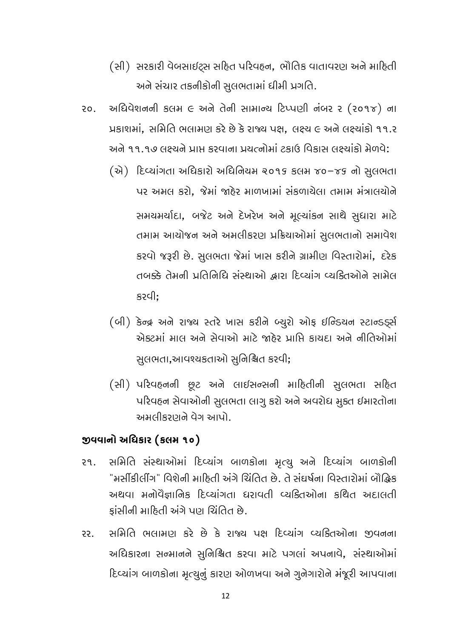- (સી) સરકારી વેબસાઈટ્સ સહિત પરિવહન, ભૌતિક વાતાવરણ અને માહિતી અને સંચાર તકનીકોની સુલભતામાં ધીમી પ્રગતિ.
- અધિવેશનની કલમ ૯ અને તેની સામાન્ય ટિપ્પણી નંબર ૨ (૨૦૧૪) ના  $20.$ પ્રકાશમાં. સમિતિ ભલામણ કરે છે કે રાજ્ય પક્ષ. લક્ષ્ય ૯ અને લક્ષ્યાંકો ૧૧.૨ અને ૧૧.૧૭ લક્ષ્યને પ્રાપ્ત કરવાના પ્રયત્નોમાં ટકાઉ વિકાસ લક્ષ્યાંકો મેળવે:
	- (से) દિવ્યાંગતા અધિકારો અધિનિયમ ૨૦૧૬ કલમ ૪૦-૪૬ નો સુલભતા પર અમલ કરો. જેમાં જાઠેર માળખામાં સંકળાચેલા તમામ મંત્રાલચોને સમયમર્યાદા, બજેટ અને દેખરેખ અને મૂલ્યાંકન સાથે સુધારા માટે તમામ આયોજન અને અમલીકરણ પ્રક્રિયાઓમાં સૂલભતાનો સમાવેશ કરવો જરૂરી છે. સુલભતા જેમાં ખાસ કરીને ગ્રામીણ વિસ્તારોમાં, દરેક તબક્કે તેમની પ્રતિનિધિ સંસ્થાઓ દ્ભારા દિવ્યાંગ વ્યકિતઓને સામેલ કરવી:
	- (બી) કેન્દ્ર અને રાજ્ય સ્તરે ખાસ કરીને બ્યુરો ઓફ ઈન્ડિયન સ્ટાન્ડર્ડ્સ એક્ટમાં માલ અને સેવાઓ માટે જાઠેર પ્રાપ્તિ કાયદા અને નીતિઓમાં સુલભતા,આવશ્યકતાઓ સુનિશ્ચિત કરવી;
	- (સી) પરિવહનની છુટ અને લાઈસન્સની માહિતીની સુલભતા સહિત પરિવહન સેવાઓની સુલભતા લાગૂ કરો અને અવરોધ મુક્ત ઈમારતોના અમલીકરણને વેગ આપો.

#### જીવવાનો અધિકાર (કલમ ૧૦)

- સમિતિ સંસ્થાઓમાં દિવ્યાંગ બાળકોના મૃત્યુ અને દિવ્યાંગ બાળકોની  $29$ "મર્સીકીલીંગ" વિશેની માહિતી અંગે ચિંતિત છે. તે સંઘર્ષના વિસ્તારોમાં બૌદ્ધિક અથવા મનોવૈજ્ઞાનિક દિવ્યાંગતા ધરાવતી વ્યક્તિઓના કથિત અદાલતી કાંસીની માહિતી અંગે પણ ચિંતિત છે.
- સમિતિ ભલામણ કરે છે કે રાજ્ય પક્ષ દિવ્યાંગ વ્યકિતઓના જીવનના 22. અધિકારના સન્માનને સુનિશ્ચિત કરવા માટે પગલાં અપનાવે, સંસ્થાઓમાં દિવ્યાંગ બાળકોના મૃત્યુનું કારણ ઓળખવા અને ગુનેગારોને મંજૂરી આપવાના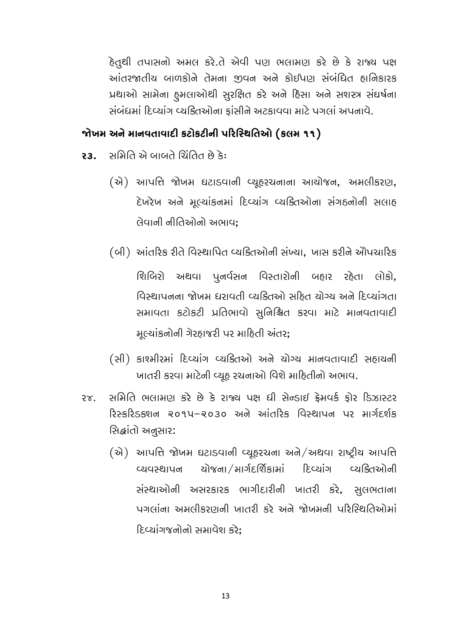હેતુથી તપાસનો અમલ કરે.તે એવી પણ ભલામણ કરે છે કે રાજ્ય પક્ષ આંતરજાતીય બાળકોને તેમના જીવન અને કોઈપણ સંબંધિત હાનિકારક પ્રથાઓ સામેના હુમલાઓથી સુરક્ષિત કરે અને દિસા અને સશસ્ત્ર સંઘર્ષના સંબંધમાં દિવ્યાંગ વ્યક્તિઓના કાંસીને અટકાવવા માટે પગલાં અપનાવે.

### જોખમ અને માનવતાવાદી કટોકટીની પરિસ્થિતિઓ (કલમ ૧૧)

- : કે છે નહીંદી તિખાખ હ નિર્ધાપ્ત  $23<sub>1</sub>$ 
	- (એ) આપત્તિ જોખમ ઘટાડવાની વ્યૂહરચનાના આયોજન, અમલીકરણ, દેખરેખ અને મૂલ્યાંકનમાં દિવ્યાંગ વ્યક્તિઓના સંગઠનોની સલાહ લેવાની નીતિઓનો અભાવ:
	- (બી) આંતરિક રીતે વિસ્થાપિત વ્યક્તિઓની સંખ્યા, ખાસ કરીને એોપચારિક

શિબિરો અથવા પૂનર્વસન વિસ્તારોની બહાર રહેતા લોકો, વિસ્થાપનના જોખમ દારાવતી વ્યક્તિઓ સૃતિ ચોગ્ય અને દિવ્યાંગતા સમાવતા કટોકટી પ્રતિભાવો સુનિશ્ચિત કરવા માટે માનવતાવાદી મૂલ્યાંકનોની ગેરહાજરી પર માહિતી અંતર;

- (સી) કાશ્મીરમાં દિવ્યાંગ વ્યક્તિઓ અને યોગ્ય માનવતાવાદી સહાયની ખાતરી કરવા માટેની વ્યૂહ રચનાઓ વિશે માહિતીનો અભાવ.
- સમિતિ ભલામણ કરે છે કે રાજ્ય પક્ષ ધી સેન્ડાઈ ક્રેમવર્ક કોર ડિઝાસ્ટર  $2x$ રિસ્કરિડક્શન ૨૦૧૫–૨૦૩૦ અને આંતરિક વિસ્થાપન પર માર્ગદર્શક સિદ્ધાંતો અનુસાર:
	- (એ) આપત્તિ જોખમ ઘટાડવાની વ્યૂહરચના અને/અથવા રાષ્ટ્રીય આપત્તિ ચોજના / માર્ગદર્શિકામાં દિવ્યાંગ વ્યક્તિઓની વ્યવસ્થાપન સંસ્થાઓની અસરકારક ભાગીદારીની ખાતરી કરે, સુલભતાના પગલાંના અમલીકરણની ખાતરી કરે અને જોખમની પરિસ્થિતિઓમાં દિવ્યાંગજનોનો સમાવેશ કરે: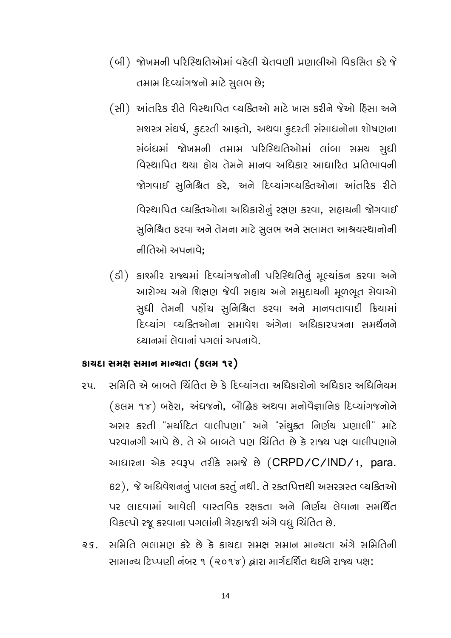- (બી) જોખમની પરિસ્થિતિઓમાં વહેલી ચેતવણી પ્રણાલીઓ વિકસિત કરે જે તમામ દિવ્યાંગજનો માટે સુલભ છે;
- (સી) આંતરિક રીતે વિસ્થાપિત વ્યક્તિઓ માટે ખાસ કરીને જેઓ દિસા અને સશસ્ત્ર સંઘર્ષ, ફુદરતી આફતો, અથવા ફુદરતી સંસાધનોના શોષણના સંબંધમાં જોખમની તમામ પરિસ્થિતિઓમાં લાંબા સમય સુધી વિસ્થાપિત થયા હોય તેમને માનવ અધિકાર આધારિત પ્રતિભાવની જોગવાઈ સુનિશ્ચિત કરે, અને દિવ્યાંગવ્યકિતઓના આંતરિક રીતે વિસ્થાપિત વ્યક્તિઓના અધિકારોનું રક્ષણ કરવા, સહાયની જોગવાઈ સુનિશ્ચિત કરવા અને તેમના માટે સુલભ અને સલામત આશ્રયસ્થાનોની નીતિઓ અપનાવે:
- (डी) કાશ્મીર રાજ્યમાં દિવ્યાંગજનોની પરિસ્થિતિનું મૂલ્યાંકન કરવા અને આરોગ્ય અને શિક્ષણ જેવી સહાય અને સમુદાયની મૂળભૂત સેવાઓ સુધી તેમની પહોંચ સુનિશ્ચિત કરવા અને માનવતાવાદી ક્રિયામાં દિવ્યાંગ વ્યક્તિઓના સમાવેશ અંગેના અધિકારપત્રના સમર્થનને ણાનમાં લેવાનાં પગલાં આનાવે

#### કાચદા સમક્ષ સમાન માન્યતા (કલમ ૧૨)

- સમિતિ એ બાબતે ચિંતિત છે કે દિવ્યાંગતા અધિકારોનો અધિકાર અધિનિયમ  $2<sub>u</sub>$ . (કલમ १४) બહેરા, અંધજનો, બૌદ્ધિક અથવા મનોવૈજ્ઞાનિક દિવ્યાંગજનોને અસર કરતી "મર્યાદિત વાલીપણા" અને "સંચુક્ત નિર્ણય પ્રણાલી" માટે પરવાનગી આપે છે. તે એ બાબતે પણ ચિંતિત છે કે રાજ્ય પક્ષ વાલીપણાને આધારના એક સ્વરૂપ તરીકે સમજે છે (CRPD/C/IND/1, para. 62), જે અધિવેશનનું પાલન કરતું નથી. તે રક્તપિત્તથી અસરગ્રસ્ત વ્યક્તિઓ પર લાદવામાં આવેલી વાસ્તવિક રક્ષકતા અને નિર્ણય લેવાના સમર્થિત વિકલ્પો રજૂ કરવાના પગલાંની ગેરહાજરી અંગે વધુ ચિંતિત છે.
- ૨૬. સમિતિ ભલામણ કરે છે કે કાયદા સમક્ષ સમાન માન્યતા અંગે સમિતિની સામાન્ય ટિપ્પણી નંબર ૧ (૨૦૧૪) દ્વારા માર્ગદર્શિત થઈને રાજ્ય પક્ષ: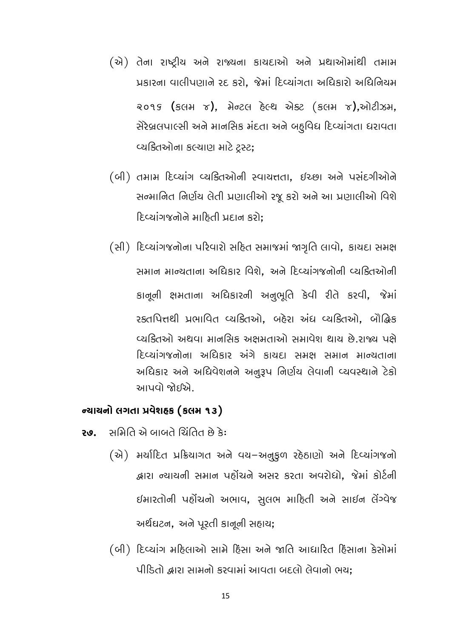- (એ) તેના રાષ્ટ્રીય અને રાજ્યના કાયદાઓ અને પ્રથાઓમાંથી તમામ પ્રકારના વાલીપણાને રદ કરો, જેમાં દિવ્યાંગતા અધિકારો અધિનિયમ २०१५ (इसम ४), मेन्टस हेल्थ सेड्ट (इसम ४), सोटी ऊम, સેરેબ્રલપાલ્સી અને માનસિક મંદતા અને બદૃવિધ દિવ્યાંગતા ધરાવતા વ્યકિતઓના કલ્યાણ માટે ટ્રસ્ટ;
- (બી) तभाभ દિવ્યાંગ વ્યક્તિઓની સ્વાયત્તતા, ઇચ્છા અને પસંદગીઓને સન્માનિત નિર્ણય લેતી પ્રણાલીઓ રજૂ કરો અને આ પ્રણાલીઓ વિશે દિવ્યાંગજનોને માહિતી પ્રદાન કરો;
- (સી) દિવ્યાંગજનોના પરિવારો સહિત સમાજમાં જાગૃતિ લાવો, કાચદા સમક્ષ સમાન માન્યતાના અધિકાર વિશે, અને દિવ્યાંગજનોની વ્યક્તિઓની કાનૂની ક્ષમતાના અધિકારની અનુભૂતિ કેવી રીતે કરવી, જેમાં રક્તપિત્તથી પ્રભાવિત વ્યક્તિઓ. બહેરા અંધ વ્યક્તિઓ. બૌદ્ધિક વ્યક્તિઓ અથવા માનસિક અક્ષમતાઓ સમાવેશ થાય છે.રાજ્ય પક્ષે દિવ્યાંગજનોના અધિકાર અંગે કાયદા સમક્ષ સમાન માન્યતાના અધિકાર અને અધિવેશનને અનુરૂપ નિર્ણય લેવાની વ્યવસ્થાને ટેકો આપવો જોઈએ

### ન્યાયનો લગતા પ્રવેશહક (કલમ ૧૩)

- સમિતિ એ બાબતે ચિંતિત છે કે: 20.
	- (से) भर्यादित प्रडियागत अने पय-अनुडुण रहेठाएोो अने दिप्यांग बनो દ્રારા ન્યાયની સમાન પહોંચને અસર કરતા અવરોધો, જેમાં કોર્ટની ઈમારતોની પહોંચનો અભાવ, સુલભ માહિતી અને સાઈન લેંગ્વેજ અર્થઘટન, અને પૂરતી કાનૂની સહાય;
	- (બી) દિવ્યાંગ મહિલાઓ સામે દિસા અને જાતિ આધારિત દિસાના કેસોમાં પીડિતો દ્વારા સામનો કરવામાં આવતા બદલો લેવાનો ભય: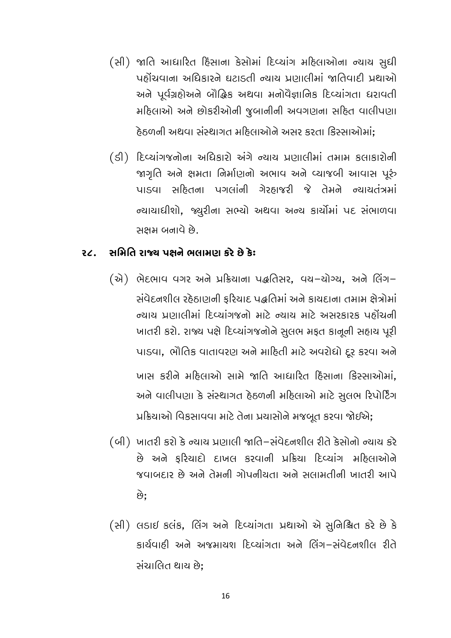(સી) જાતિ આધારિત દિસાના કેસોમાં દિવ્યાંગ મહિલાઓના ન્યાય સુધી પહોંચવાના અધિકારને ઘટાડતી ન્યાય પ્રણાલીમાં જાતિવાદી પ્રથાઓ અને પૂર્વગ્રહોઅને બૌદ્ધિક અથવા મનોવૈજ્ઞાનિક દિવ્યાંગતા ધરાવતી મહિલાઓ અને છોકરીઓની જુબાનીની અવગણના સહિત વાલીપણા

ઠેઠળની અથવા સંસ્થાગત મઠિલાઓને અસર કરતા કિસ્સાઓમાં:

(डी) દિવ્યાંગજનોના અધિકારો અંગે ન્યાય પ્રણાલીમાં તમામ કલાકારોની જાગૃતિ અને ક્ષમતા નિર્માણનો અભાવ અને વ્યાજબી આવાસ પૂરું પાડવા સહિતના પગલાંની ગેરહાજરી જે તેમને ન્યાયતંત્રમાં ન્યાયાધીશો, જ્યુરીના સભ્યો અથવા અન્ય કાર્યોમાં પદ સંભાળવા સક્ષમ બનાવે છે.

#### સમિતિ રાજ્ય પક્ષને ભલામણ કરે છે કે:  $22.$

(એ) ભેદભાવ વગર અને પ્રક્રિયાના પદ્ધતિસર, વચ-ચોગ્ય, અને લિંગ-સંવેદનશીલ રહેઠાણની કરિયાદ પદ્ધતિમાં અને કાયદાના તમામ ક્ષેત્રોમાં ન્યાય પ્રણાલીમાં દિવ્યાંગજનો માટે ન્યાય માટે અસરકારક પહોંચની ખાતરી કરો. રાજ્ય પક્ષે દિવ્યાંગજનોને સુલભ મફત કાનૂની સહાય પૂરી પાડવા, ભૌતિક વાતાવરણ અને માહિતી માટે અવરોધો દર કરવા અને ખાસ કરીને મઠિલાઓ સામે જાતિ આધારિત દિસાના કિસ્સાઓમાં. અને વાલીપણા કે સંસ્થાગત ઠેઠળની મહિલાઓ માટે સુલભ રિપોર્ટિંગ

પ્રક્રિયાઓ વિકસાવવા માટે તેના પ્રયાસોને મજબૂત કરવા જોઈએ;

- (બી) ખાતરી કરો કે ન્યાય પ્રણાલી જાતિ–સંવેદનશીલ રીતે કેસોનો ન્યાય કરે છે અને કરિયાદો દાખલ કરવાની પ્રક્રિયા દિવ્યાંગ મહિલાઓને જવાબદાર છે અને તેમની ગોપનીચતા અને સલામતીની ખાતરી આપે છે.
- (સી) લડાઈ કલંક, લિંગ અને દિવ્યાંગતા પ્રથાઓ એ સુનિશ્ચિત કરે છે કે કાર્યવાહી અને અજમાયશ દિવ્યાંગતા અને લિંગ-સંવેદનશીલ રીતે સંચાલિત થાય છે: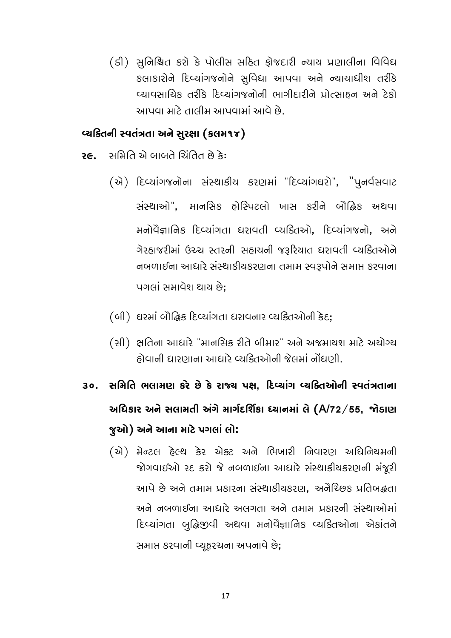(ડી) સુનિશ્ચિત કરો કે પોલીસ સહિત ફોજદારી ન્યાય પ્રણાલીના વિવિધ કલાકારોને દિવ્યાંગજનોને સુવિદ્યા આપવા અને ન્યાયાધીશ તરીકે વ્યાવસાયિક તરીકે દિવ્યાંગજનોની ભાગીદારીને પ્રોત્સાહન અને ટેકો આપવા માટે તાલીમ આપવામાં આવે છે.

#### વ્યકિતની સ્વતંત્રતા અને સુરક્ષા (કલમ૧૪)

- સ છે ત્રોતિ એ ભાભપ ગિપ્તિ છે કે:  $26$ 
	- (એ) દિવ્યાંગજનોના સંસ્થાકીય કરણમાં "દિવ્યાંગઘરો", "પુનર્વસવાટ સંસ્થાઓ". માનસિક હોસ્પિટલો ખાસ કરીને બૌદ્ધિક અથવા મનોવૈજ્ઞાનિક દિવ્યાંગતા ધરાવતી વ્યક્તિઓ, દિવ્યાંગજનો, અને ગેરહાજરીમાં ઉચ્ચ સ્તરની સહાયની જરૂરિયાત ધરાવતી વ્યક્તિઓને નબળાઈના આધારે સંસ્થાકીયકરણના તમામ સ્વરૂપોને સમાપ્ત કરવાના પગલાં સમાવેશ થાય છે:
	- (બી) ઘરમાં બૌદ્ધિક દિવ્યાંગતા ધરાવનાર વ્યક્તિઓની કેદ;
	- (સી) ક્ષતિના આધારે "માનસિક રીતે બીમાર" અને અજમાયશ માટે અયોગ્ય હોવાની ધારણાના આધારે વ્યક્તિઓની જેલમાં નોંધણી.
- ૩૦. સમિતિ ભલામણ કરે છે કે રાજ્ય પક્ષ. દિવ્યાંગ વ્યકિતઓની સ્વતંત્રતાના અધિકાર અને સલામતી અંગે માર્ગદર્શિકા ધ્યાનમાં લે (A/72/55, જોડાણ જુઓ) અને આના માટે પગલાં લો:
	- (એ) મેન્ટલ હેલ્થ કેર એક્ટ અને ભિખારી નિવારણ અધિનિયમની જોગવાઈઓ રદ કરો જે નબળાઈના આધારે સંસ્થાકીચકરણની મંજૂરી આપે છે અને તમામ પ્રકારના સંસ્થાકીયકરણ, અનૈરિછક પ્રતિબદ્ધતા અને નબળાઈના આધારે અલગતા અને તમામ પ્રકારની સંસ્થાઓમાં દિવ્યાંગતા બુદ્ધિજીવી અથવા મનોવૈજ્ઞાનિક વ્યક્તિઓના એકાંતને સમાપ્ત કરવાની વ્યૂહરચના અપનાવે છે;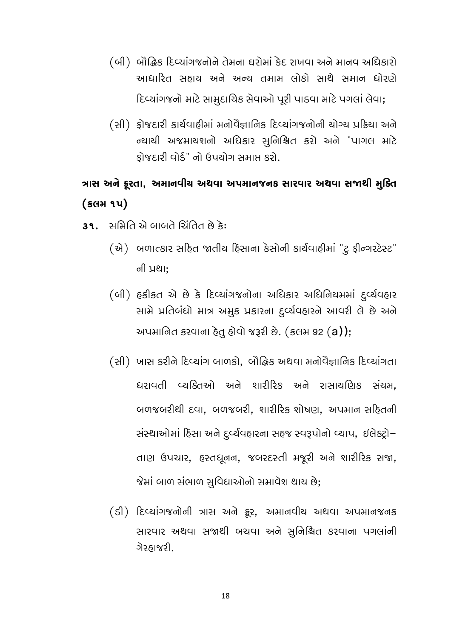- (બી) બૌદ્ધિક દિવ્યાંગજનોને તેમના ઘરોમાં કેદ રાખવા અને માનવ અધિકારો આધારિત સહાય અને અન્ય તમામ લોકો સાથે સમાન ધોરણે દિવ્યાંગજનો માટે સામુદાયિક સેવાઓ પૂરી પાડવા માટે પગલાં લેવા;
- (સી) ફોજદારી કાર્યવાહીમાં મનોવૈજ્ઞાનિક દિવ્યાંગજનોની યોગ્ય પ્રક્રિયા અને ન્યાયી અજમાયશનો અધિકાર સુનિશ્ચિત કરો અને "પાગલ માટે કોજદારી વોર્ડ" નો ઉપયોગ સમાપ્ત કરો.

## ત્રાસ અને ક્રૂરતા, અમાનવીચ અથવા અપમાનજનક સારવાર અથવા સજાથી મુક્તિ  $(s$ GH $u)$

- ે છે નહીંથી તેઓ બાબતે ચિનિ છે કે:
	- (એ) બળાત્કાર સહિત જાતીય દિસાના કેસોની કાર્યવાહીમાં "ટુ ફીન્ગરટેસ્ટ" ની પ્રથા:
	- (બી) हुडीइत से છે કે દિવ્યાંગજનોના અધિકાર અધિનિયમમાં દુર્વ્યવહાર સામે પ્રતિબંધો માત્ર અમુક પ્રકારના દુર્વ્યવહારને આવરી લે છે અને અપમાનિત કરવાના દેતુ હોવો જરૂરી છે. (કલમ 92 (a));
	- (સી) ખાસ કરીને દિવ્યાંગ બાળકો, બૌદ્ધિક અથવા મનોવૈજ્ઞાનિક દિવ્યાંગતા ધરાવતી વ્યક્તિઓ અને શારીરિક અને રાસાયણિક સંચમ, બળજબરીથી દવા, બળજબરી, શારીરિક શોષણ, અપમાન સદિતની સંસ્થાઓમાં દિસા અને દુર્વ્યવહારના સહજ સ્વરૂપોનો વ્યાપ, ઈલેક્ટ્રો– તાણ ઉપચાર, હસ્તધૂનન, જબરદસ્તી મજૂરી અને શારીરિક સજા, જેમાં બાળ સંભાળ સુવિદ્યાઓનો સમાવેશ થાય છે;
	- (डी) દિવ્યાંગજનોની ત્રાસ અને ફ્રૂર, અમાનવીય અથવા અપમાનજનક સારવાર અથવા સજાથી બચવા અને સુનિશ્ચિત કરવાના પગલાંની ગેરહ્યાજરી.

18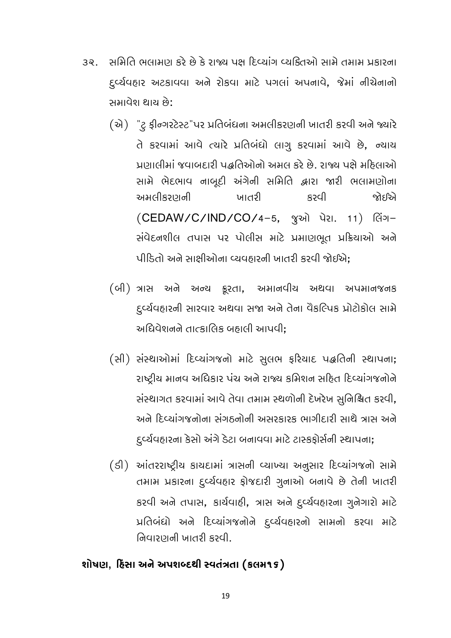- સમિતિ ભલામણ કરે છે કે રાજ્ય પક્ષ દિવ્યાંગ વ્યક્તિઓ સામે તમામ પ્રકારના ૩૨. દુર્વ્યવહાર અટકાવવા અને રોકવા માટે પગલાં અપનાવે, જેમાં નીચેનાનો સમાવેશ થાય છે:
	- (એ) "ટુ ફીન્ગરટેસ્ટ"પર પ્રતિબંધના અમલીકરણની ખાતરી કરવી અને જ્યારે તે કરવામાં આવે ત્યારે પ્રતિબંધો લાગુ કરવામાં આવે છે, ન્યાય પ્રણાલીમાં જવાબદારી પદ્ધતિઓનો અમલ કરે છે. રાજ્ય પક્ષે મદિલાઓ સામે ભેદભાવ નાબુદી અંગેની સમિતિ દ્વારા જારી ભલામણોના અમલીકરાગની ખાતરી Des જોદૃરિતે (CEDAW/C/IND/CO/4-5, ବୁઓ પેરા. 11) લિંગ-સંવેદનશીલ તપાસ પર પોલીસ માટે પ્રમાણભૂત પ્રક્રિયાઓ અને પીડિતો અને સાક્ષીઓના વ્યવહારની ખાતરી કરવી જોઈએ:
	- (બી) ત્રાસ અને અન્ય ક્રૂરતા, અમાનવીય અથવા અપમાનજનક દુર્વ્યવહારની સારવાર અથવા સજા અને તેના વૈકલ્પિક પ્રોટોકોલ સામે અધિવેશનને તાત્કાલિક બહાલી આપવી:
	- (सी) संस्थाओमां हिप्यांग बो भाटे सुसल इरियाद पद्धतिनी स्थापना; રાષ્ટ્રીય માનવ અધિકાર પંચ અને રાજ્ય કમિશન સહિત દિવ્યાંગજનોને સંસ્થાગત કરવામાં આવે તેવા તમામ સ્થળોની દેખરેખ સુનિશ્ચિત કરવી, અને દિવ્યાંગજનોના સંગઠનોની અસરકારક ભાગીદારી સાથે ત્રાસ અને દુર્વ્યવહારના કેસો અંગે ડેટા બનાવવા માટે ટાસ્કફોર્સની સ્થાપના;
	- (डी) આંતરરાષ્ટ્રીય કાયદામાં ત્રાસની વ્યાખ્યા અનુસાર દિવ્યાંગજનો સામે તમામ પ્રકારના દુર્વ્યવહાર ફોજદારી ગુનાઓ બનાવે છે તેની ખાતરી કરવી અને તપાસ, કાર્યવાહી, ત્રાસ અને દુર્વ્યવહારના ગુનેગારો માટે પ્રતિબંધો અને દિવ્યાંગજનોને દુર્વ્યવહારનો સામનો કરવા માટે નિવારણની ખાતરી કરવી.

### શોષણ, દિસા અને અપશબ્દથી સ્વતંત્રતા (કલમ૧૬)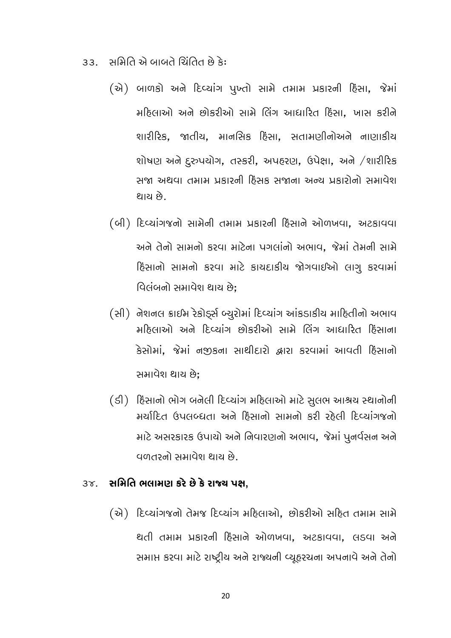- સમિતિ એ બાબતે ચિંતિત છે કે:  $33.$ 
	- (એ) બાળકો અને દિવ્યાંગ પુખ્તો સામે તમામ પ્રકારની દિસા, જેમાં મહિલાઓ અને છોકરીઓ સામે લિંગ આધારિત હિંસા. ખાસ કરીને શારીરિક, જાતીય, માનસિક દિંસા, સતામણીનોઅને નાણાકીય શોષણ અને દુરુપયોગ, તસ્કરી, અપહરણ, ઉપેક્ષા, અને /શારીરિક સજા અથવા તમામ પ્રકારની દિસક સજાના અન્ય પ્રકારોનો સમાવેશ શાચ છે.
	- (બી) દિવ્યાંગજનો સામેની તમામ પ્રકારની દિસાને ઓળખવા, અટકાવવા અને તેનો સામનો કરવા માટેના પગલાંનો અભાવ, જેમાં તેમની સામે हिंसानो सामनो કરવા માટે કાયદાકીય જોગવાઈઓ લાગુ કરવામાં વિલંબનો સમાવેશ થાય છે:
	- (સી) નેશનલ ક્રાઈમ રેકોર્ડ્સ બ્યુરોમાં દિવ્યાંગ આંકડાકીય માહિતીનો અભાવ મહિલાઓ અને દિવ્યાંગ છોકરીઓ સામે લિંગ આધારિત હિંસાના કેસોમાં, જેમાં નજીકના સાથીદારો દ્વારા કરવામાં આવતી દિસાનો સમાવેશ થાય છે:
	- (ડી) દિસાનો ભોગ બનેલી દિવ્યાંગ મહિલાઓ માટે સુલભ આશ્રચ સ્થાનોની મર્યાદિત ઉપલબ્ધતા અને દિસાનો સામનો કરી રહેલી દિવ્યાંગજનો માટે અસરકારક ઉપાયો અને નિવારણનો અભાવ, જેમાં પુનર્વસન અને વળતરનો સમાવેશ થાય છે.

#### સમિતિ ભલામણ કરે છે કે રાજ્ય પક્ષ.  $3\gamma$ .

(એ) દિવ્યાંગજનો તેમજ દિવ્યાંગ મહિલાઓ, છોકરીઓ સહિત તમામ સામે થતી તમામ પ્રકારની દિસાને ઓળખવા, અટકાવવા, લડવા અને સમાપ્ત કરવા માટે રાષ્ટ્રીય અને રાજ્યની વ્યૂહરચના અપનાવે અને તેનો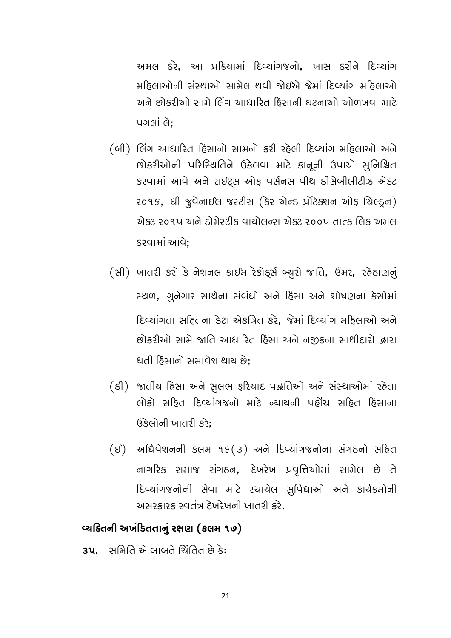અમલ કરે, આ પ્રક્રિયામાં દિવ્યાંગજનો, ખાસ કરીને દિવ્યાંગ મઠિલાઓની સંસ્થાઓ સામેલ થવી જોઈએ જેમાં દિવ્યાંગ મઠિલાઓ અને છોકરીઓ સામે લિંગ આધારિત દિસાની ઘટનાઓ ઓળખવા માટે પગલાં લે:

- (બી) લિંગ આધારિત દિસાનો સામનો કરી રહેલી દિવ્યાંગ મહિલાઓ અને છોકરીઓની પરિસ્થિતિને ઉકેલવા માટે કાનૂની ઉપાયો સુનિશ્ચિત કરવામાં આવે અને રાઈટ્સ ઓફ પર્સનસ વીથ ડીસેબીલીટીઝ એક્ટ २०१९, धी षुपेनार्धस षस्टीस (डेर सेन्ड प्रोटेडशन ओइ थिल्ड्रन) એક્ટ ૨૦૧૫ અને ડોમેસ્ટીક વાંચોલન્સ એક્ટ ૨૦૦૫ તાત્કાલિક અમલ કરવામાં આવે:
- (સી) ખાતરી કરો કે નેશનલ ક્રાઈમ રેકોર્ડ્સ બ્યુરો જાતિ, ઉંમર, રહેઠાણનું સ્થળ, ગુનેગાર સાથેના સંબંધો અને દિસા અને શોષણના કેસોમાં દિવ્યાંગતા સહિતના ડેટા એકત્રિત કરે. જેમાં દિવ્યાંગ મહિલાઓ અને છોકરીઓ સામે જાતિ આધારિત દિસા અને નજીકના સાથીદારો દ્વારા થતી હિંસાનો સમાવેશ થાય છે:
- (ડી) જાતીય દિસા અને સુલભ ફરિયાદ પદ્ધતિઓ અને સંસ્થાઓમાં રહેતા લોકો સહિત દિવ્યાંગજનો માટે ન્યાયની પહોંચ સહિત દિસાના ઉકેલોની ખાતરી કરે:
- $(5)$  અધિવેશનની કલમ ૧૬ $(3)$  અને દિવ્યાંગજનોના સંગઠનો સહિત નાગરિક સમાજ સંગઠન, દેખરેખ પ્રવૃત્તિઓમાં સામેલ છે તે દિવ્યાંગજનોની સેવા માટે રચાયેલ સુવિધાઓ અને કાર્યક્રમોની . લેક દિતાના નિર્માત દેખરેખની ખાતરી કરે.

#### વ્યકિતની અખંડિતતાનું રક્ષણ (કલમ ૧૭)

**3૫.** સમિતિ એ બાબતે ચિંતિત છે કે: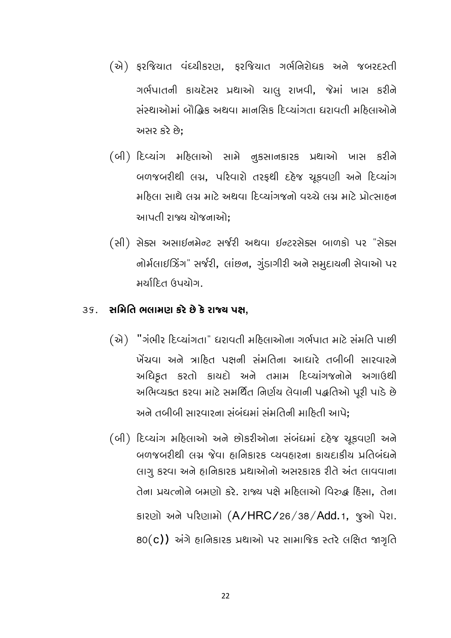- (એ) ફરજિયાત વંદચીકરણ, ફરજિયાત ગર્ભનિરોધક અને જબરદસ્તી ગર્ભપાતની કાયદેસર પ્રથાઓ ચાલુ રાખવી, જેમાં ખાસ કરીને સંસ્થાઓમાં બૌદ્ધિક અથવા માનસિક દિવ્યાંગતા ધરાવતી મઠિલાઓને અસર કરે છે:
- (બી) દિવ્યાંગ મહિલાઓ સામે નુકસાનકારક પ્રથાઓ ખાસ કરીને બળજબરીથી લગ્ન, પરિવારો તરફથી દહેજ ચૂકવણી અને દિવ્યાંગ મુણ્લા સાથે લગ્ન માટે અઘવા દિવ્યાંગજનો વસ્ત્રે લગ્ન માટે પોત્સાહન આપતી રાજ્ય ચોજનાઓ:
- (સી) સેક્સ અસાઈનમેન્ટ સર્જરી અથવા ઈન્ટરસેક્સ બાળકો પર "સેક્સ નોર્મલાઈઝિંગ" સર્જરી, લાંછન, ગુંડાગીરી અને સમૂદાયની સેવાઓ પર મર્ચાદિત ઉપયોગ.

#### સમિતિ ભલામણ કરે છે કે રાજ્ય પક્ષ,  $3S.$

(स्रे) "ગંભીર દિવ્યાંગતા" ધરાવતી મહિલાઓના ગર્ભપાત માટે સંમતિ પાછી ખેંચવા અને ત્રાહિત પક્ષની સંમતિના આધારે તબીબી સારવારને અધિકૃત કરતો કાયદો અને તમામ દિવ્યાંગજનોને અગાઉથી અભિવ્યક્ત કરવા માટે સમર્થિત નિર્ણય લેવાની પદ્ધતિઓ પૂરી પાડે છે અને તબીબી સારવારના સંબંધમાં સંમતિની માહિતી આપે:

(બી) દિવ્યાંગ મહિલાઓ અને છોકરીઓના સંબંધમાં દહેજ ચૂકવણી અને બળજબરીથી લગ્ન જેવા ઠાનિકારક વ્યવઠારના કાયદાકીય પ્રતિબંધને લાગુ કરવા અને હાનિકારક પ્રથાઓનો અસરકારક રીતે અંત લાવવાના તેના પ્રયત્નોને બમણો કરે. રાજ્ય પક્ષે મહિલાઓ વિરુદ્ધ દિસા. તેના કારણો અને પરિણામો (A/HRC/26/38/Add.1, જુઓ પેરા.  $80(c)$ ) અંગે હાનિકારક પ્રથાઓ પર સામાજિક સ્તરે લક્ષિત જાગૃતિ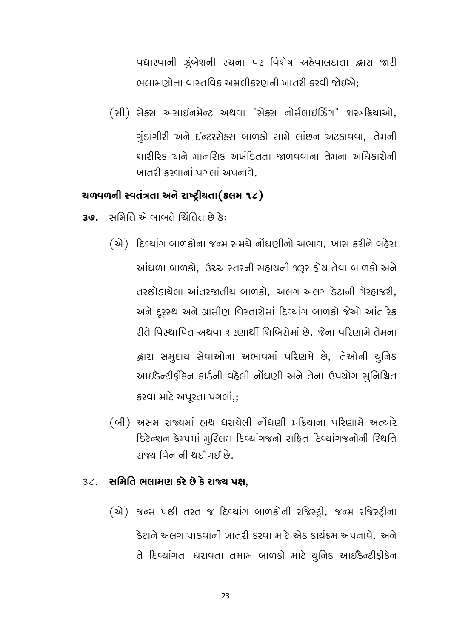વધારવાની ઝુંબેશની રચના પર વિશેષ અઠેવાલદાતા દ્વારા જારી ભલામણોના વાસ્તવિક અમલીકરણની ખાતરી કરવી જોઈએ:

(સી) સેક્સ અસાઈનમેન્ટ અથવા "સેક્સ નોર્મલાઈઝિંગ" શસ્ત્રક્રિયાઓ, ગુંડાગીરી અને ઈન્ટરસેક્સ બાળકો સામે લાંછન અટકાવવા, તેમની શારીરિક અને માનસિક અખંડિતતા જાળવવાના તેમના અધિકારોની ખાતરી કરવાનાં પગલાં અપનાવે.

#### ચળવળની સ્વતંત્રતા અને રાષ્ટ્રીયતા(કલમ ૧૮)

- સમિતિ એ બાબતે ચિંતિત છે કે: 39.
	- (એ) દિવ્યાંગ બાળકોના જન્મ સમયે નોંધણીનો અભાવ, ખાસ કરીને બહેરા આંધળા બાળકો, ઉચ્ચ સ્તરની સહાયની જરૂર હોય તેવા બાળકો અને તરછોડાયેલા આંતરજાતીય બાળકો, અલગ અલગ ડેટાની ગેરહાજરી, અને દૂરસ્થ અને ગ્રામીણ વિસ્તારોમાં દિવ્યાંગ બાળકો જેઓ આંતરિક રીતે વિસ્થાપિત અથવા શરણાર્થી શિબિરોમાં છે. જેના પરિણામે તેમના દ્વારા સમુદાચ સેવાઓના અભાવમાં પરિણમે છે, તેઓની યુનિક આઈંડેન્ટીફીકેન કાર્ડની વહેલી નોંધણી અને તેના ઉપયોગ સુનિશ્ચિત કરવા માટે અપૂરતા પગલાં,;
	- (બી) અસમ રાજ્યમાં હાથ ધરાયેલી નોંધણી પ્રક્રિયાના પરિણામે અત્યારે ડિટેન્શન કેમ્પમાં મુસ્લિમ દિવ્યાંગજનો સહિત દિવ્યાંગજનોની સ્થિતિ ્લ ોરાવ્ય વિનાની પ્રશાદ

#### 3૮. સમિતિ ભલામણ કરે છે કે રાજ્ય પક્ષ,

(એ) જન્મ પછી તરત જ દિવ્યાંગ બાળકોની રજિસ્ટ્રી, જન્મ રજિસ્ટ્રીના ડેટાને અલગ પાડવાની ખાતરી કરવા માટે એક કાર્યક્રમ અપનાવે. અને તે દિવ્યાંગતા ધરાવતા તમામ બાળકો માટે યુનિક આઈડેન્ટીફીકેન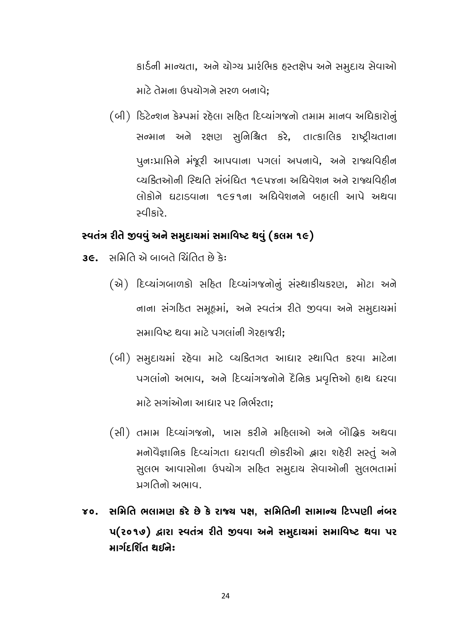કાર્ડની માન્યતા, અને ચોગ્ય પ્રારંભિક હસ્તક્ષેપ અને સમુદાય સેવાઓ માટે તેમના ઉપયોગને સરળ બનાવે:

(બી) ડિટેન્શન કેમ્પમાં રહેલા સહિત દિવ્યાંગજનો તમામ માનવ અધિકારોનું સન્માન અને રક્ષણ સુનિશ્ચિત કરે, તાત્કાલિક રાષ્ટ્રીયતાના પુનઃપ્રાપ્તિને મંજૂરી આપવાના પગલાં અપનાવે, અને રાજ્યવિઠીન વ્યકિતઓની સ્થિતિ સંબંધિત ૧૯૫૪ના અધિવેશન અને રાજ્યવિઠીન લોકોને ઘટાડવાના ૧૯૬૧ના અધિવેશનને બહાલી આપે અથવા સ્વીકારે

#### સ્વતંત્ર રીતે જીવવું અને સમુદાચમાં સમાવિષ્ટ થવું (કલમ ૧૯)

- **36**. સમિતિ એ બાબતે ચિંતિત છે કે:
	- (से) દિવ્યાંગબાળકો સહિત દિવ્યાંગજનોનું સંસ્થાકીયકરણ, મોટા અને નાના સંગઠિત સમૂહમાં, અને સ્વતંત્ર રીતે જીવવા અને સમુદાચમાં સમાવિષ્ટ થવા માટે પગલાંની ગેરહાજરી:
	- (બી) સમુદાયમાં રહેવા માટે વ્યકિતગત આધાર સ્થાપિત કરવા માટેના पगलांनो अलाप, अने हिप्यांग बोने हैंनिક प्रयुत्तिओ हाथ धरपा માટે સગાંઓના આધાર પર નિર્ભરતા:
	- (સી) તમામ દિવ્યાંગજનો, ખાસ કરીને મહિલાઓ અને બૌદ્ધિક અથવા મનોવૈજ્ઞાનિક દિવ્યાંગતા ધરાવતી છોકરીઓ દ્વારા શહેરી સસ્તું અને સુલભ આવાસોના ઉપયોગ સહિત સમુદાય સેવાઓની સુલભતામાં પ્રગતિનો અભાવ.
- ૪૦. સમિતિ ભલામણ કરે છે કે રાજ્ય પક્ષ, સમિતિની સામાન્ય ટિપ્પણી નંબર **प(२०१७) द्वारा स्पतंत्र रीते छपया अने समु**द्दायमां समाविष्ट थया पर માર્ગદર્શિત થઈને: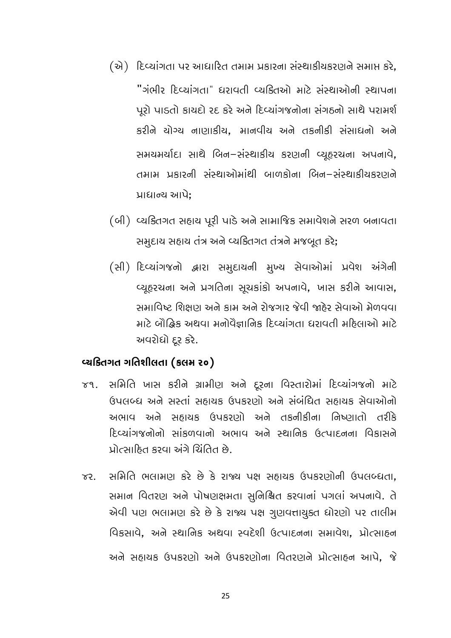- (એ) દિવ્યાંગતા પર આધારિત તમામ પ્રકારના સંસ્થાકીયકરણને સમાપ્ત કરે, "ગંભીર દિવ્યાંગતા" દ્યરાવતી વ્યકિતઓ માટે સંસ્થાઓની સ્થાપના પૂરો પાડતો કાયદો રદ કરે અને દિવ્યાંગજનોના સંગઠનો સાથે પરામર્શ કરીને ચોગ્ય નાણાકીય, માનવીય અને તકનીકી સંસાધનો અને સમયમર્યાદા સાથે બિન-સંસ્થાકીય કરણની વ્યૂહરચના અપનાવે, તમામ પ્રકારની સંસ્થાઓમાંથી બાળકોના બિન-સંસ્થાકીયકરણને પ્રાધાન્ય આપે:
- (બી) વ્યક્તિગત સહાય પૂરી પાડે અને સામાજિક સમાવેશને સરળ બનાવતા સમૂદાય સહાય તંત્ર અને વ્યકિતગત તંત્રને મજબૂત કરે;
- (સી) દિવ્યાંગજનો દ્વારા સમુદાયની મુખ્ય સેવાઓમાં પ્રવેશ અંગેની વ્યુહરચના અને પ્રગતિના સુચકાંકો અપનાવે, ખાસ કરીને આવાસ, સમાવિષ્ટ શિક્ષણ અને કામ અને રોજગાર જેવી જાહેર સેવાઓ મેળવવા માટે બૌદ્ધિક અથવા મનોવૈજ્ઞાનિક દિવ્યાંગતા ધરાવતી મહિલાઓ માટે અવરોધો દૂર કરે.

#### વ્યક્તિગત ગતિશીલતા (કલમ ૨૦)

- સમિતિ ખાસ કરીને ગ્રામીણ અને દૂરના વિસ્તારોમાં દિવ્યાંગજનો માટે  $\gamma$ 9. ઉપલબ્ધ અને સસ્તાં સહ્યાયક ઉપકરણો અને સંબંધિત સહ્યાયક સેવાઓનો અભાવ અને સહાયક ઉપકરણો અને તકનીકીના નિષ્ણાતો તરીકે દિવ્યાંગજનોનો સાંકળવાનો અભાવ અને સ્થાનિક ઉત્પાદનના વિકાસને પ્રોત્સાહિત કરવા અંગે ચિંતિત છે.
- સમિતિ ભલામણ કરે છે કે રાજ્ય પક્ષ સહ્યાયક ઉપકરણોની ઉપલબ્ધતા.  $\gamma$ सभान पितरण अने पोषणक्षभता सुनिश्चित डरयानां पगसां अपनापे. ते એવી પણ ભલામણ કરે છે કે રાજ્ય પક્ષ ગુણવત્તાચુક્ત ધોરણો પર તાલીમ વિકસાવે, અને સ્થાનિક અથવા સ્વદેશી ઉત્પાદનના સમાવેશ, પ્રોત્સાહન અને સહાયક ઉપકરણો અને ઉપકરણોના વિતરણને પ્રોત્સાહન આપે, જે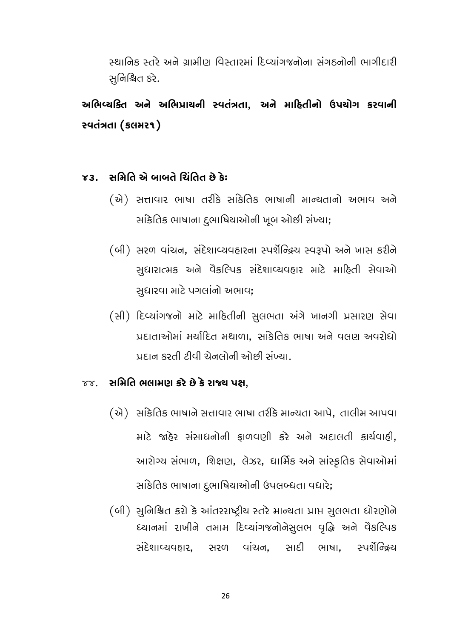સ્થાનિક સ્તરે અને ગ્રામીણ વિસ્તારમાં દિવ્યાંગજનોના સંગઠનોની ભાગીદારી સનિશ્ચિત કરે.

અભિવ્યક્તિ અને અભિપ્રાયની સ્વતંત્રતા, અને માદિતીનો ઉપયોગ કરવાની સ્વતંત્રતા (કલમર૧)

#### સ્ર ઉત્તિગ્નિ બાબતે ગ્રિતિત છે કે:  $X3$

- (એ) સત્તાવાર ભાષા તરીકે સાંકેતિક ભાષાની માન્યતાનો અભાવ અને સાંકેતિક ભાષાના દુભાષિયાઓની ખૂબ ઓછી સંખ્યા;
- (બી) સરળ વાંચન, સંદેશાવ્યવહારના સ્પર્શેન્દ્રિય સ્વરૂપો અને ખાસ કરીને સુધારાત્મક અને વૈકલ્પિક સંદેશાવ્યવહાર માટે માહિતી સેવાઓ સુધારવા માટે પગલાંનો અભાવ;
- (સી) દિવ્યાંગજનો માટે માહિતીની સુલભતા અંગે ખાનગી પ્રસારણ સેવા પ્રદાતાઓમાં મર્યાદિત મથાળા, સાંકેતિક ભાષા અને વલણ અવરોધો પ્રદાન કરતી ટીવી ચેનલોની ઓછી સંખ્યા.

#### ૪૪. સમિતિ ભલામણ કરે છે કે રાજ્ય પક્ષ.

- (એ) સાંકેતિક ભાષાને સત્તાવાર ભાષા તરીકે માન્યતા આપે, તાલીમ આપવા માટે જાહેર સંસાધનોની ફાળવણી કરે અને અદાલતી કાર્યવાહી, આરોગ્ય સંભાળ, શિક્ષણ, લેઝર, ધાર્મિક અને સાંસ્કૃતિક સેવાઓમાં સાંકેતિક ભાષાના દુભાષિયાઓની ઉપલબ્ધતા વધારે;
- (બી) સુનિશ્ચિત કરો કે આંતરરાષ્ટ્રીય સ્તરે માન્યતા પ્રાપ્ત સુલભતા ધોરણોને ધ્યાનમાં રાખીને તમામ દિવ્યાંગજનોનેસલભ વૃદ્ધિ અને વૈકલ્પિક સંદેશાવ્યવહાર, સરળ વાંચન, સાદી ભાષા, સ્પર્શૅન્દ્રિય

26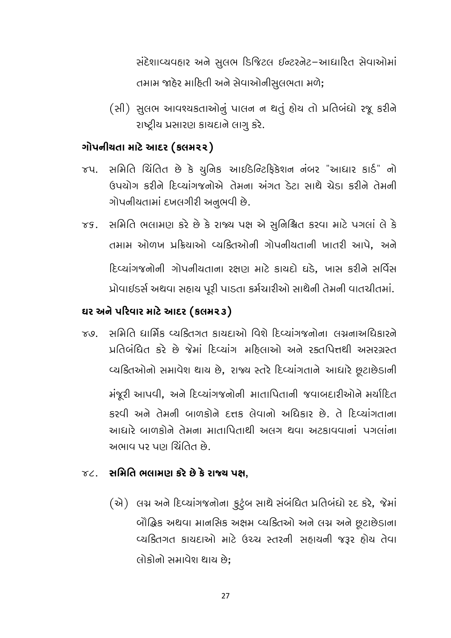સંદેશાવ્યવહાર અને સુલભ ડિજિટલ ઈન્ટરનેટ-આધારિત સેવાઓમાં તમામ જાહેર માહિતી અને સેવાઓનીસુલભતા મળે;

(સી) સુલભ આવશ્યકતાઓનું પાલન ન થતું હોય તો પ્રતિબંધો રજૂ કરીને રાષ્ટ્રીય પ્રસારણ કાયદાને લાગુ કરે.

### ગોપનીચતા માટે આદર (કલમ૨૨)

- જપ. સમિતિ ચિંતિત છે કે યુનિક આઈડેન્ટિફિકેશન નંબર "આધાર કાર્ડ" નો ઉપયોગ કરીને દિવ્યાંગજનોએ તેમના અંગત ડેટા સાથે ચેડા કરીને તેમની ગોપનીયતામાં દખલગીરી અનુભવી છે.
- ૪૬. સમિતિ ભલામણ કરે છે કે રાજ્ય પક્ષ એ સુનિશ્ચિત કરવા માટે પગલાં લે કે તમામ ઓળખ પ્રક્રિયાઓ વ્યક્તિઓની ગોપનીયતાની ખાતરી આપે. અને દિવ્યાંગજનોની ગોપનીયતાના રક્ષણ માટે કાયદો ઘડે, ખાસ કરીને સર્વિસ પ્રોવાઈડર્સ અથવા સહાચ પૂરી પાડતા કર્મચારીઓ સાથેની તેમની વાતચીતમાં.

#### ઘર અને પરિવાર માટે આદર (કલમ૨૩)

૪૭. સમિતિ ધાર્મિક વ્યકિતગત કાયદાઓ વિશે દિવ્યાંગજનોના લગ્નનાઅધિકારને प्रतिબંધિત કરે છે જેમાં દિવ્યાંગ મહિલાઓ અને રક્તપિત્તથી અસરગ્રસ્ત વ્યક્તિઓનો સમાવેશ થાય છે, રાજ્ય સ્તરે દિવ્યાંગતાને આધારે છૂટાછેડાની મંજૂરી આપવી, અને દિવ્યાંગજનોની માતાપિતાની જવાબદારીઓને મર્યાદિત કરવી અને તેમની બાળકોને દત્તક લેવાનો અધિકાર છે. તે દિવ્યાંગતાના આધારે બાળકોને તેમના માતાપિતાથી અલગ થવા અટકાવવાનાં પગલાંના અભાવ પર પણ ચિંતિત છે.

### $\gamma$ ૮. સમિતિ ભલામણ કરે છે કે રાજ્ય પક્ષ,

(એ) લગ્ન અને દિવ્યાંગજનોના કુટુંબ સાથે સંબંધિત પ્રતિબંધો રદ કરે, જેમાં બૌદ્ધિક અથવા માનસિક અક્ષમ વ્યક્તિઓ અને લગ્ન અને છૂટાછેડાના વ્યક્તિગત કાયદાઓ માટે ઉચ્ચ સ્તરની સહાયની જરૂર હોય તેવા લોકોનો સમાવેશ થાય છે: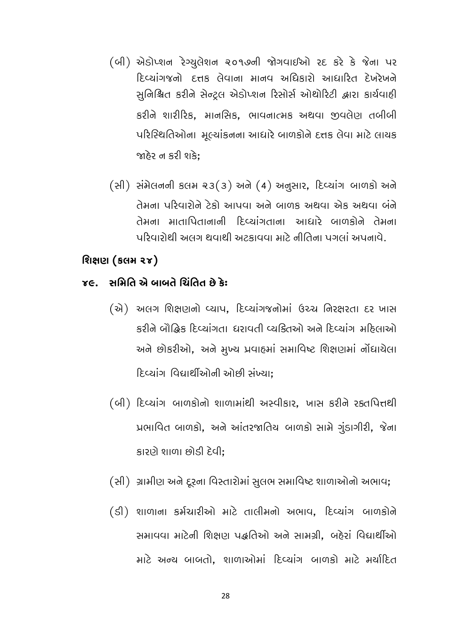- (બી) એડોપ્શન રેગ્યુલેશન ૨૦૧૭ની જોગવાઈઓ રદ કરે કે જેના પર દિવ્યાંગજનો દત્તક લેવાના માનવ અધિકારો આધારિત દેખરેખને સુનિશ્ચિત કરીને સેન્ટ્રલ એડોપ્શન રિસોર્સ ઓથોરિટી દ્વારા કાર્યવાહી કરીને શારીરિક, માનસિક, ભાવનાત્મક અથવા જીવલેણ તબીબી પરિસ્થિતિઓના મૂલ્યાંકનના આધારે બાળકોને દત્તક લેવા માટે લાયક જાહેર ન કરી શકે:
- $(A)$  સંમેલનની કલમ ૨૩(૩) અને (4) અનુસાર, દિવ્યાંગ બાળકો અને તેમના પરિવારોને ટેકો આપવા અને બાળક અથવા એક અથવા બંને તેમના માતાપિતાનાની દિવ્યાંગતાના આદ્યારે બાળકોને તેમના પરિવારોથી અલગ થવાથી અટકાવવા માટે નીતિના પગલાં અપનાવે.

#### શિક્ષણ (કલમ ૨૪)

#### ૪૯. સમિતિ એ બાબતે ચિંતિત છે કે:

- કરીને બૌદ્ધિક દિવ્યાંગતા ધરાવતી વ્યકિતઓ અને દિવ્યાંગ મહિલાઓ અને છોકરીઓ, અને મુખ્ય પ્રવાહમાં સમાવિષ્ટ શિક્ષણમાં નોંધાયેલા દિવ્યાંગ વિદ્યાર્થીઓની ઓછી સંખ્યા:
- (બી) દિવ્યાંગ બાળકોનો શાળામાંથી અસ્વીકાર, ખાસ કરીને રક્તપિત્તથી પ્રભાવિત બાળકો, અને આંતરજાતિય બાળકો સામે ગુંડાગીરી, જેના કારણે શાળા છોડી દેવી:
- (સી) ગ્રામીણ અને દૂરના વિસ્તારોમાં સુલભ સમાવિષ્ટ શાળાઓનો અભાવ;
- (डी) शाળाना કર્મચારીઓ માટે તાલીમનો અભાવ, દિવ્યાંગ બાળકોને સમાવવા માટેની શિક્ષણ પદ્ધતિઓ અને સામગ્રી, બહેરાં વિદ્યાર્થીઓ માટે અન્ય બાબતો. શાળાઓમાં દિવ્યાંગ બાળકો માટે મર્યાદિત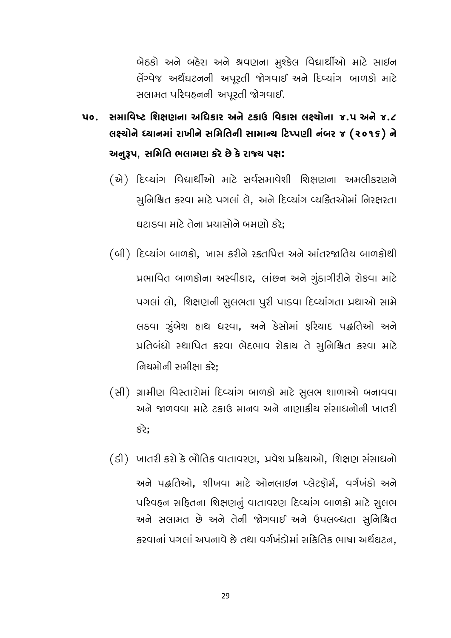બેઠકો અને બહેરા અને શ્રવણના મુશ્કેલ વિદ્યાર્થીઓ માટે સાઈન લેંગ્વેજ અર્થઘટનની અપુરતી જોગવાઈ અને દિવ્યાંગ બાળકો માટે સલામત પરિવહનની અપૂરતી જોગવાઈ.

- **૫૦. સમાવિષ્ટ શિક્ષણના અધિકાર અને ટકાઉ વિકાસ લક્ષ્યોના ૪.૫ અને ૪.૮** લક્ષ્યોને ધ્યાનમાં રાખીને સમિતિની સામાન્ય ટિપ્પણી નંબર ૪ (૨૦૧૬) ને અનુરૂપ, સમિતિ ભલામણ કરે છે કે રાજ્ય પક્ષ:
	- (એ) દિવ્યાંગ વિદ્યાર્થીઓ માટે સર્વસમાવેશી શિક્ષણના અમલીકરણને સુનિશ્ચિત કરવા માટે પગલાં લે, અને દિવ્યાંગ વ્યકિતઓમાં નિરક્ષરતા ઘટાડવા માટે તેના પ્રચાસોને બમણો કરે:
	- (બી) દિવ્યાંગ બાળકો, ખાસ કરીને રક્તપિત્ત અને આંતરજાતિય બાળકોથી પ્રભાવિત બાળકોના અસ્વીકાર, લાંછન અને ગુંડાગીરીને રોકવા માટે પગલાં લો, શિક્ષણની સુલભતા પુરી પાડવા દિવ્યાંગતા પ્રથાઓ સામે લડવા ઝુંબેશ હાથ ધરવા, અને કેસોમાં ફરિયાદ પદ્ધતિઓ અને પ્રતિબંધો સ્થાપિત કરવા ભેદભાવ રોકાચ તે સુનિશ્ચિત કરવા માટે નિયમોની સમીક્ષા કરે:
	- (सी) ગ્રામીણ વિસ્તારોમાં દિવ્યાંગ બાળકો માટે સુલભ શાળાઓ બનાવવા અને જાળવવા માટે ટકાઉ માનવ અને નાણાકીય સંસાધનોની ખાતરી કરે:

(ડી) ખાતરી કરો કે ભૌતિક વાતાવરણ, પ્રવેશ પ્રક્રિયાઓ, શિક્ષણ સંસાધનો અને પદ્ધતિઓ, શીખવા માટે ઓનલાઈન પ્લેટફોર્મ, વર્ગખંડો અને પરિવહન સહિતના શિક્ષણનું વાતાવરણ દિવ્યાંગ બાળકો માટે સુલભ અને સલામત છે અને તેની જોગવાઈ અને ઉપલબ્ધતા સુનિશ્ચિત કરવાનાં પગલાં અપનાવે છે તથા વર્ગખંડોમાં સાંકેતિક ભાષા અર્થઘટન.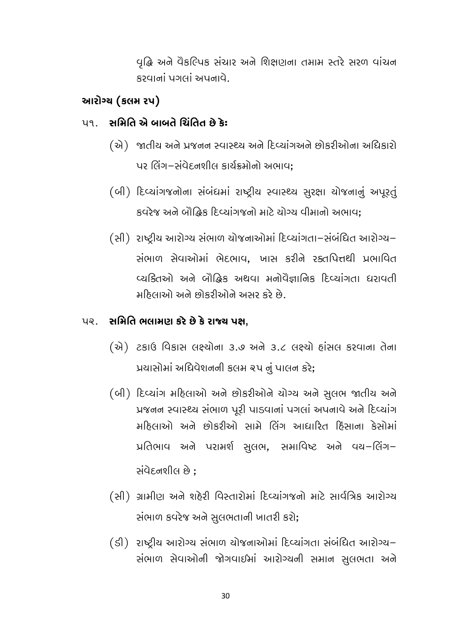વૃદ્ધિ અને વૈકલ્પિક સંચાર અને શિક્ષણના તમામ સ્તરે સરળ વાંચન કરવાનાં પગલાં અપનાવે.

### આરોગ્ય (કલમ ૨૫)

#### પૂર્વ છે. સમિતિ એ બાબતે ચિંતિત છે કે:

- (એ) જાતીય અને પ્રજનન સ્વાસ્થ્ય અને દિવ્યાંગઅને છોકરીઓના અધિકારો પર લિંગ–સંવેદનશીલ કાર્યક્રમોનો અભાવ:
- (બી) દિવ્યાંગજનોના સંબંધમાં રાષ્ટ્રીય સ્વાસ્થ્ય સુરક્ષા યોજનાનું અપૂરતું કવરેજ અને બૌદ્ધિક દિવ્યાંગજનો માટે ચોગ્ય વીમાનો અભાવ:
- (સી) રાષ્ટ્રીય આરોગ્ય સંભાળ યોજનાઓમાં દિવ્યાંગતા-સંબંધિત આરોગ્ય– સંભાળ સેવાઓમાં ભેદભાવ, ખાસ કરીને રક્તપિત્તથી પ્રભાવિત વ્યક્તિઓ અને બૌહિક અથવા મનોવૈજ્ઞાનિક દિવ્યાંગતા ધરાવતી મઠિલાઓ અને છોકરીઓને અસર કરે છે.

#### પર. સમિતિ ભલામણ કરે છે કે રાજ્ય પક્ષ.

- (से) टडाઉ વિકાસ લક્ષ્યોના ૩.७ અને ૩.૮ લક્ષ્યો હાંસલ કરવાના તેના પ્રયાસોમાં અધિવેશનની કલમ ૨૫ નું પાલન કરે;
- (બી) દિવ્યાંગ મહિલાઓ અને છોકરીઓને ચોગ્ય અને સુલભ જાતીય અને પ્રજનન સ્વાસ્થ્ય સંભાળ પૂરી પાડવાનાં પગલાં અપનાવે અને દિવ્યાંગ મઠિલાઓ અને છોકરીઓ સામે લિંગ આધારિત ઠિંસાના કેસોમાં પ્રતિભાવ અને પરામર્શ સુલભ, સમાવિષ્ટ અને વચ-લિંગ-સંવેદનશીલ છે :
- (સી) ગ્રામીણ અને શહેરી વિસ્તારોમાં દિવ્યાંગજનો માટે સાર્વત્રિક આરોગ્ય સંભાળ કવરેજ અને સુલભતાની ખાતરી કરો;
- (ડી) રાષ્ટ્રીય આરોગ્ય સંભાળ યોજનાઓમાં દિવ્યાંગતા સંબંધિત આરોગ્ય– સંભાળ સેવાઓની જોગવાઈમાં આરોગ્યની સમાન સુલભતા અને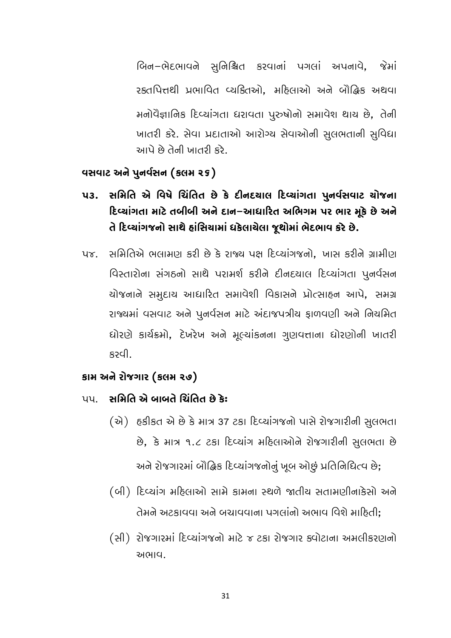બિન-ભેદભાવને સુનિશ્ચિત કરવાનાં પગલાં અપનાવે, જેમાં રક્તપિત્તથી પ્રભાવિત વ્યક્તિઓ, મદિલાઓ અને બૌદ્ધિક અથવા મનોવૈજ્ઞાનિક દિવ્યાંગતા ધરાવતા પુરુષોનો સમાવેશ થાય છે, તેની ખાતરી કરે. સેવા પ્રદાતાઓ આરોગ્ય સેવાઓની સુલભતાની સુવિધા આપે છે તેની ખાતરી કરે.

#### વસવાટ અને પુનર્વસન (કલમ ૨૬)

- સમિતિ એ વિષે ચિંતિત છે કે દીનદચાલ દિવ્યાંગતા પુનર્વસવાટ ચોજના **43.** દિવ્યાંગતા માટે તબીબી અને દાન–આધારિત અભિગમ પર ભાર મૂકે છે અને તે દિવ્યાંગજનો સાથે હાંસિયામાં ઘકેલાચેલા જુથોમાં ભેદભાવ કરે છે.
- સમિતિએ ભલામણ કરી છે કે રાજ્ય પક્ષ દિવ્યાંગજનો. ખાસ કરીને ગ્રામીણ  $\nu \delta$ . વિસ્તારોના સંગઠનો સાથે પરામર્શ કરીને દીનદયાલ દિવ્યાંગતા પુનર્વસન યોજનાને સમૂદાય આધારિત સમાવેશી વિકાસને પ્રોત્સાહન આપે, સમગ્ર રાજ્યમાં વસવાટ અને પૂનર્વસન માટે અંદાજપત્રીય ફાળવણી અને નિયમિત ધોરણે કાર્યક્રમો, દેખરેખ અને મૂલ્યાંકનના ગુણવત્તાના ધોરણોની ખાતરી မော

#### કામ અને રોજગાર (કલમ ૨૭)

- પપણ સમિતિ એ બાબતે ચિંતિત છે કે:
	- (એ) હકીકત એ છે કે માત્ર 37 ટકા દિવ્યાંગજનો પાસે રોજગારીની સુલભતા છે, કે માત્ર ૧.૮ ટકા દિવ્યાંગ મહિલાઓને રોજગારીની સુલભતા છે

અને રોજગારમાં બૌદ્ધિક દિવ્યાંગજનોનું ખૂબ ઓછું પ્રતિનિધિત્વ છે;

- (બી) દિવ્યાંગ મહિલાઓ સામે કામના સ્થળે જાતીય સતામણીનાકેસો અને તેમને અટકાવવા અને બચાવવાના પગલાંનો અભાવ વિશે માહિતી:
- (સી) રોજગારમાં દિવ્યાંગજનો માટે ૪ ટકા રોજગાર ક્વોટાના અમલીકરણનો અભાવા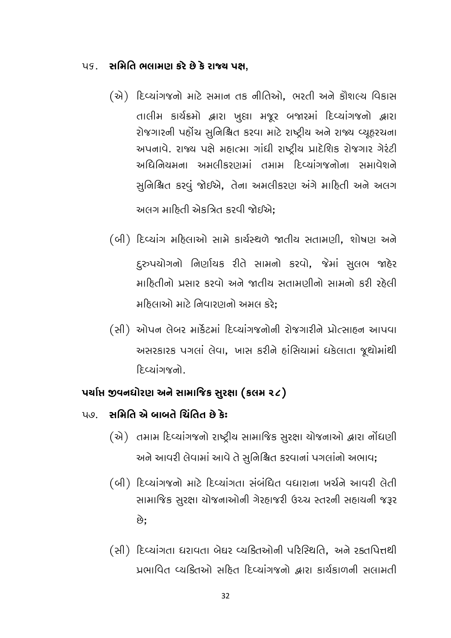#### ૫૬. સમિતિ ભલામણ કરે છે કે રાજ્ય પક્ષ.

- (એ) દિવ્યાંગજનો માટે સમાન તક નીતિઓ, ભરતી અને કૌશલ્ય વિકાસ તાલીમ કાર્યક્રમો દ્વારા ખુલા મજૂર બજારમાં દિવ્યાંગજનો દ્વારા રોજગારની પહોંચ સુનિશ્ચિત કરવા માટે રાષ્ટ્રીય અને રાજ્ય વ્યૂહરચના અપનાવે. રાજ્ય પક્ષે મહાત્મા ગાંધી રાષ્ટ્રીય પ્રાદેશિક રોજગાર ગેરંટી અધિનિયમના અમલીકરણમાં તમામ દિવ્યાંગજનોના સમાવેશને સુનિશ્ચિત કરવું જોઈએ, તેના અમલીકરણ અંગે માહિતી અને અલગ અલગ માહિતી એકત્રિત કરવી જોઈએ:
- (બી) દિવ્યાંગ મહિલાઓ સામે કાર્યસ્થળે જાતીય સતામણી, શોષણ અને દુરુપયોગનો નિર્ણાયક રીતે સામનો કરવો, જેમાં સુલભ જાહેર માદિતીનો પ્રસાર કરવો અને જાતીય સતામણીનો સામનો કરી રહેલી મહિલાઓ માટે નિવારણનો અમલ કરે:
- (સી) ઓપન લેબર માર્કેટમાં દિવ્યાંગજનોની રોજગારીને પ્રોત્સાહન આપવા અસરકારક પગલાં લેવા, ખાસ કરીને હાંસિયામાં ધકેલાતા જૂથોમાંથી <u> દિલ્યાંગજનો</u>

### પર્યાપ્ત જીવનધોરણ અને સામાજિક સુરક્ષા (કલમ ૨૮)

- પણ સમિતિ એ બાબતે ચિંતિત છે કે:
	- (એ) તમામ દિવ્યાંગજનો રાષ્ટ્રીય સામાજિક સુરક્ષા યોજનાઓ દ્વારા નોંધણી અને આવરી લેવામાં આવે તે સુનિશ્ચિત કરવાનાં પગલાંનો અભાવ;
	- (બી) દિવ્યાંગજનો માટે દિવ્યાંગતા સંબંધિત વધારાના ખર્ચને આવરી લેતી સામાજિક સુરક્ષા ચોજનાઓની ગેરહાજરી ઉચ્ચ સ્તરની સહાયની જરૂર છે.
	- (સી) દિવ્યાંગતા ધરાવતા બેઘર વ્યક્તિઓની પરિસ્થિતિ, અને રક્તપિત્તથી પ્રભાવિત વ્યકિતઓ સહિત દિવ્યાંગજનો હ્વારા કાર્યકાળની સલામતી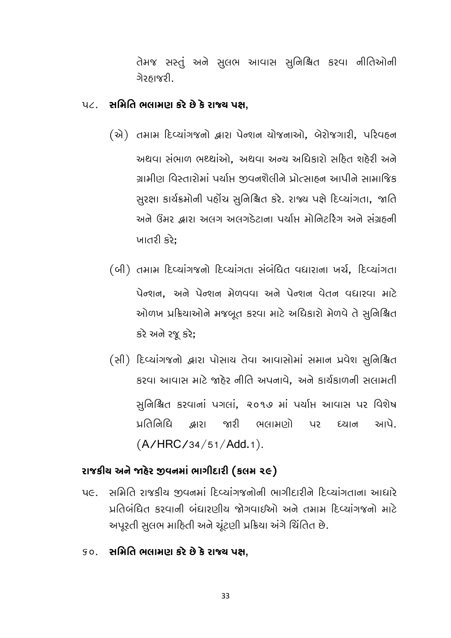તેમજ સસ્તું અને સુલભ આવાસ સુનિશ્ચિત કરવા નીતિઓની ગેરઠાજરી.

## પ૮. સમિતિ ભલામણ કરે છે કે રાજ્ય પક્ષ,

- (એ) तभाभ દિવ્યાંગજનો દ્વારા પેન્શન યોજનાઓ, બેરોજગારી, પરિવહન અથવા સંભાળ ભથ્થાંઓ, અથવા અન્ય અધિકારો સહિત શહેરી અને ગ્રામીણ વિસ્તારોમાં પર્યાપ્ત જીવનશૈલીને પ્રોત્સાઠન આપીને સામાજિક સુરક્ષા કાર્યક્રમોની પહોંચ સુનિશ્ચિત કરે. રાજ્ય પક્ષે દિવ્યાંગતા, જાતિ અને ઉંમર દ્વારા અલગ અલગડેટાના પર્યાપ્ત મોનિટરિંગ અને સંગ્રહની ખાતરી કરે:
- (બી) तभाभ દિવ્યાંગજનો દિવ્યાંગતા સંબંધિત વધારાના ખર્ચ, દિવ્યાંગતા પેન્શન. અને પેન્શન મેળવવા અને પેન્શન વેતન વધારવા માટે ઓળખ પ્રક્રિયાઓને મજબૂત કરવા માટે અધિકારો મેળવે તે સુનિશ્ચિત કરે અને રજૂ કરે;
- (સી) દિવ્યાંગજનો દ્વારા પોસાય તેવા આવાસોમાં સમાન પ્રવેશ સુનિશ્ચિત કરવા આવાસ માટે જાહેર નીતિ અપનાવે, અને કાર્યકાળની સલામતી સૂનિશ્ચિત કરવાનાં પગલાં, ૨૦૧૭ માં પર્યાપ્ત આવાસ પર વિશેષ જારી ભલામણો પર นู(สิตินะ ଞ୍ଜାତ୍ତ દચાન આપે.  $(A/HRC/34/51/Add.1).$

### રાજકીય અને જાદેર જીવનમાં ભાગીદારી (કલમ ૨૯)

- પ૯. સમિતિ રાજકીય જીવનમાં દિવ્યાંગજનોની ભાગીદારીને દિવ્યાંગતાના આધારે પ્રતિબંધિત કરવાની બંધારણીય જોગવાઈઓ અને તમામ દિવ્યાંગજનો માટે અપૂરતી સુલભ માહિતી અને ચૂંટણી પ્રક્રિયા અંગે ચિંતિત છે.
- so. સમિતિ ભલામણ કરે છે કે રાજ્ય પક્ષ,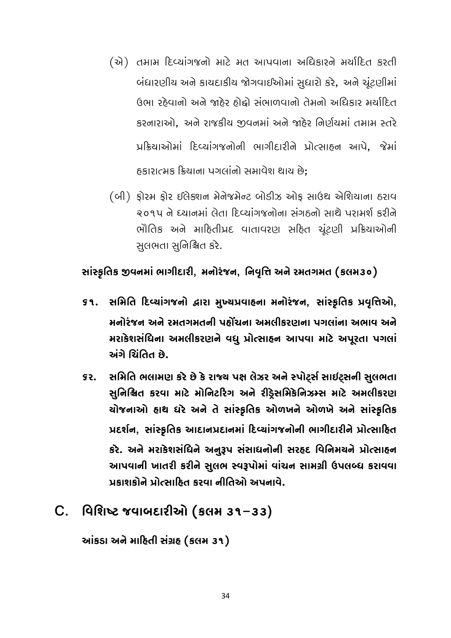- (એ) તમામ દિવ્યાંગજનો માટે મત આપવાના અધિકારને મર્યાદિત કરતી બંધારણીય અને કાયદાકીય જોગવાઈઓમાં સુધારો કરે, અને ચૂંટણીમાં ઉભા રહેવાનો અને જાહેર હોઢો સંભાળવાનો તેમનો અધિકાર મર્યાદિત કરનારાઓ. અને રાજકીય જીવનમાં અને જાહેર નિર્ણયમાં તમામ સ્તરે प्रडियाओमां टिप्यांग लोनी लागीहारीने प्रोत्साहन आपे, श्रेमां હકારાત્મક ક્રિયાના પગલાંનો સમાવેશ થાય છે:
- (બી) ફોરમ ફોર ઈલેક્શન મેનેજમેન્ટ બોડીઝ ઓફ સાઉથ એશિયાના ઠરાવ २०१५ ने ध्यानमां ตेता દિવ્યાંગજનોના સંગઠનો સાથે પરામર્શ કરીને ભૌતિક અને માહિતીપ્રદ વાતાવરણ સહિત ચૂંટણી પ્રક્રિયાઓની સુલભતા સુનિશ્ચિત કરે.

સાંસ્કૃતિક જીવનમાં ભાગીદારી, મનોરંજન, નિવૃત્તિ અને રમતગમત (કલમ૩૦)

- ૬૧. સમિતિ દિવ્યાંગજનો દ્વારા મુખ્યપ્રવાહના મનોરંજન, સાંસ્કૃતિક પ્રવૃત્તિઓ, મનોરંજન અને રમતગમતની પહોંચના અમલીકરણના પગલાંના અભાવ અને મરાકેશસંધિના અમલીકરણને વધુ પ્રોત્સાહન આપવા માટે અપૂરતા પગલાં અંગે ચિંતિત છે.
- સમિતિ ભલામણ કરે છે કે રાજ્ય પક્ષ લેઝર અને સ્પોર્ટ્સ સાઈટ્સની સુલભતા **SS.** સુનિશ્ચિત કરવા માટે મોનિટરિગ અને રીડેસમિકેનિઝમ્સ માટે અમલીકરણ યોજનાઓ હાથ ધરે અને તે સાંસ્કૃતિક ઓળખને ઓળખે અને સાંસ્કૃતિક પ્રદર્શન, સાંસ્કૃતિક આદાનપ્રદાનમાં દિવ્યાંગજનોની ભાગીદારીને પ્રોત્સાહિત કરે. અને મરાકેશસંધિને અનુરૂપ સંસાધનોની સરહદ વિનિમયને પ્રોત્સાહન આપવાની ખાતરી કરીને સુલભ સ્વરૂપોમાં વાંચન સામગ્રી ઉપલબ્ધ કરાવવા પ્રકાશકોને પ્રોત્સાઠિત કરવા નીતિઓ અપનાવે.

## $C.$  વિશિષ્ટ જવાબદારીઓ (કલમ ૩૧–૩૩)

આંકડા અને માહિતી સંગ્રહ (કલમ ૩૧)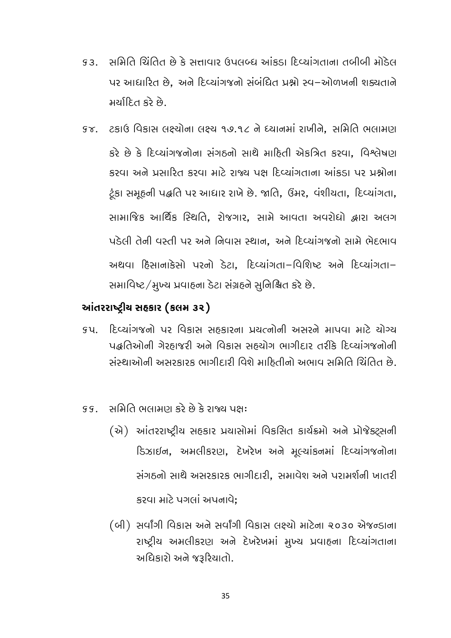- સમિતિ ચિંતિત છે કે સત્તાવાર ઉપલબ્ધ આંકડા દિવ્યાંગતાના તબીબી મોડેલ  $93.$ પર આધારિત છે, અને દિવ્યાંગજનો સંબંધિત પ્રશ્નો સ્વ-ઓળખની શક્યતાને મર્યાદિત કરે છે.
- કજ. ટકાઉ વિકાસ લક્ષ્યોના લક્ષ્ય ૧૭.૧૮ ને ધ્યાનમાં રાખીને. સમિતિ ભલામણ કરે છે કે દિવ્યાંગજનોના સંગઠનો સાથે માહિતી એકત્રિત કરવા, વિશ્લેષણ કરવા અને પ્રસારિત કરવા માટે રાજ્ય પક્ષ દિવ્યાંગતાના આંકડા પર પ્રશ્નોના ટૂંકા સમૂહની પદ્ધતિ પર આધાર રાખે છે. જાતિ, ઉંમર, વંશીચતા, દિવ્યાંગતા, સામાજિક આર્થિક સ્થિતિ, રોજગાર, સામે આવતા અવરોધો દ્વારા અલગ પડેલી તેની વસ્તી પર અને નિવાસ સ્થાન, અને દિવ્યાંગજનો સામે ભેદભાવ અથવા દિસાનાકેસો પરનો ડેટા. દિવ્યાંગતા-વિશિષ્ટ અને દિવ્યાંગતા-સમાવિષ્ટ / મુખ્ય પ્રવાહના ડેટા સંગ્રહને સુનિશ્ચિત કરે છે.

### આંતરરાષ્ટ્રીય સહકાર (કલમ ૩૨)

- દિવ્યાંગજનો પર વિકાસ સહકારના પ્રયત્નોની અસરને માપવા માટે ચોગ્ય รน \_ પ્રહૃતિઓની ગેરહ્યાજરી અને વિકાસ સહ્યોગ ભાગીદાર તરીકે દિવ્યાંગજનોની સંસ્થાઓની અસરકારક ભાગીદારી વિશે માહિતીનો અભાવ સમિતિ ચિંતિત છે.
- સમિતિ ભલામણ કરે છે કે રાજ્ય પક્ષ:  $99$ 
	- (એ) આંતરરાષ્ટ્રીય સહકાર પ્રયાસોમાં વિકસિત કાર્યક્રમો અને પ્રોજેક્ટ્સની ડિઝાઈન, અમલીકરણ, દેખરેખ અને મૂલ્યાંકનમાં દિવ્યાંગજનોના સંગઠનો સાથે અસરકારક ભાગીદારી. સમાવેશ અને પરામર્શની ખાતરી કરવા માટે પગલાં અપનાવે:
	- (બી) સર્વાંગી વિકાસ અને સર્વાંગી વિકાસ લક્ષ્યો માટેના ૨૦૩૦ એજન્ડાના રાષ્ટ્રીય અમલીકરણ અને દેખરેખમાં મુખ્ય પ્રવાહના દિવ્યાંગતાના અધિકારો અને જરૂરિયાતો.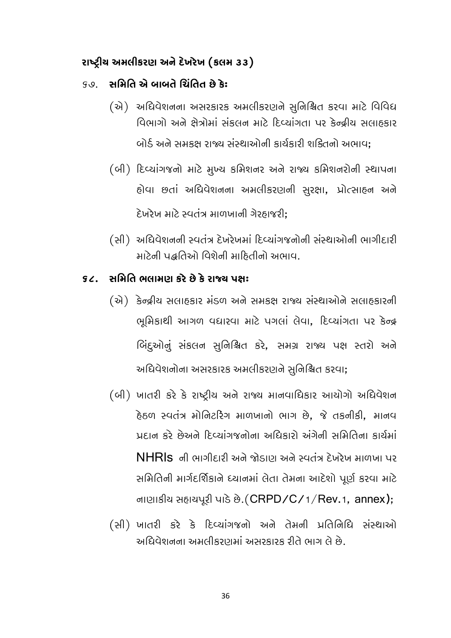### રાષ્ટ્રીય અમલીકરણ અને દેખરેખ (કલમ ૩૩)

#### કહ્ય **સમિતિ એ બાબતે ચિંતિત છે કે:**

- (એ) અધિવેશનના અસરકારક અમલીકરણને સુનિશ્ચિત કરવા માટે વિવિધ વિભાગો અને ક્ષેત્રોમાં સંકલન માટે દિવ્યાંગતા પર કેન્દ્રીય સલાહકાર બોર્ડ અને સમકક્ષ રાજ્ય સંસ્થાઓની કાર્યકારી શક્તિનો અભાવ:
- (બી) દિવ્યાંગજનો માટે મુખ્ય કમિશનર અને રાજ્ય કમિશનરોની સ્થાપના હોવા છતાં અધિવેશનના અમલીકરણની સુરક્ષા, પ્રોત્સાહન અને દેખરેખ માટે સ્વતંત્ર માળખાની ગેરહ્યાજરી:
- (સી) અધિવેશનની સ્વતંત્ર દેખરેખમાં દિવ્યાંગજનોની સંસ્થાઓની ભાગીદારી માટેની પદ્ધતિઓ વિશેની માહિતીનો અભાવ.

#### કેટ્ર, સમિતિ ભલામાગ કરે છે કે રાજ્ય પક્ષ:

- (એ) કેન્દ્રીય સલાહકાર મંડળ અને સમકક્ષ રાજ્ય સંસ્થાઓને સલાહકારની ભૂમિકાથી આગળ વધારવા માટે પગલાં લેવા, દિવ્યાંગતા પર કેન્દ્ર બિંદુઓનું સંકલન સુનિશ્ચિત કરે, સમગ્ર રાજ્ય પક્ષ સ્તરો અને અધિવેશનોના અસરકારક અમલીકરણને સુનિશ્ચિત કરવા;
- (બી) ખાતરી કરે કે રાષ્ટ્રીય અને રાજ્ય માનવાધિકાર આયોગો અધિવેશન ઠેઠળ સ્વતંત્ર મોનિટરિંગ માળખાનો ભાગ છે. જે તકનીકી, માનવ પ્રદાન કરે છેઅને દિવ્યાંગજનોના અધિકારો અંગેની સમિતિના કાર્યમાં  $NHR$ ls ની ભાગીદારી અને જોડાણ અને સ્વતંત્ર દેખરેખ માળખા પર સમિતિની માર્ગદર્શિકાને ધ્યાનમાં લેતા તેમના આદેશો પૂર્ણ કરવા માટે નાણાકીય સહાચપૂરી પાડે છે. (CRPD/C/1/Rev.1, annex);
- (સી) ખાતરી કરે કે દિવ્યાંગજનો અને તેમની પ્રતિનિધિ સંસ્થાઓ અધિવેશનના અમલીકરણમાં અસરકારક રીતે ભાગ લે છે.

36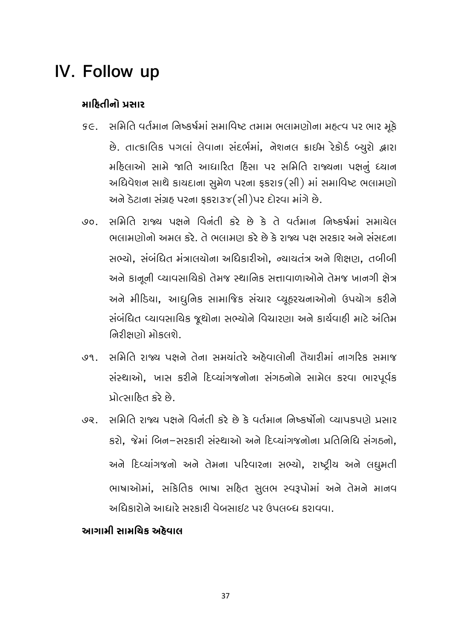## IV. Follow up

#### માહિતીનો પ્રસાર

- se. સમિતિ વર્તમાન નિષ્કર્ષમાં સમાવિષ્ટ તમામ ભલામણોના મહત્વ પર ભાર મૂકે છે. તાત્કાલિક પગલાં લેવાના સંદર્ભમાં, નેશનલ ક્રાઈમ રેકોર્ડ બ્યુરો દ્વારા મહિલાઓ સામે જાતિ આધારિત હિંસા પર સમિતિ રાજ્યના પક્ષનું ધ્યાન અધિવેશન સાથે કાયદાના સુમેળ પરના ફકરાક (સી) માં સમાવિષ્ટ ભલામણો અને ડેટાના સંગ્રહ પરના ફકરા3૪(સી)પર દોરવા માંગે છે.
- સમિતિ રાજ્ય પક્ષને વિનંતી કરે છે કે તે વર્તમાન નિષ્કર્ષમાં સમાચેલ  $90<sub>1</sub>$ ભલામાગોનો અમલ કરે. તે ભલામાગ કરે છે કે રાજ્ય પક્ષ સરકાર અને સંસદના સભ્યો. સંબંધિત મંત્રાલયોના અધિકારીઓ. ન્યાયતંત્ર અને શિક્ષણ. તબીબી અને કાનૂની વ્યાવસાયિકો તેમજ સ્થાનિક સત્તાવાળાઓને તેમજ ખાનગી ક્ષેત્ર અને મીડિયા, આધુનિક સામાજિક સંચાર વ્યૂહરચનાઓનો ઉપયોગ કરીને સંબંધિત વ્યાવસાયિક જૂથોના સભ્યોને વિચારણા અને કાર્યવાહી માટે અંતિમ નિરીક્ષણો મોકલશે.
- સમિતિ રાજ્ય પક્ષને તેના સમયાંતરે અઠેવાલોની તૈયારીમાં નાગરિક સમાજ  $99<sub>1</sub>$ સંસ્થાઓ, ખાસ કરીને દિવ્યાંગજનોના સંગઠનોને સામેલ કરવા ભારપૂર્વક પ્રોત્સાહિત કરે છે.
- સમિતિ રાજ્ય પક્ષને વિનંતી કરે છે કે વર્તમાન નિષ્કર્ષોનો વ્યાપકપણે પ્રસાર \_ 99 કરો, જેમાં બિન-સરકારી સંસ્થાઓ અને દિવ્યાંગજનોના પ્રતિનિધિ સંગઠનો, અને દિવ્યાંગજનો અને તેમના પરિવારના સભ્યો, રાષ્ટ્રીય અને લઘુમતી ભાષાઓમાં, સાંકેતિક ભાષા સહિત સુલભ સ્વરૂપોમાં અને તેમને માનવ અધિકારોને આધારે સરકારી વેબસાઈટ પર ઉપલબ્ધ કરાવવા.

### આગર્યાસ સ્વિમાન્દ મિદ્દાાલ